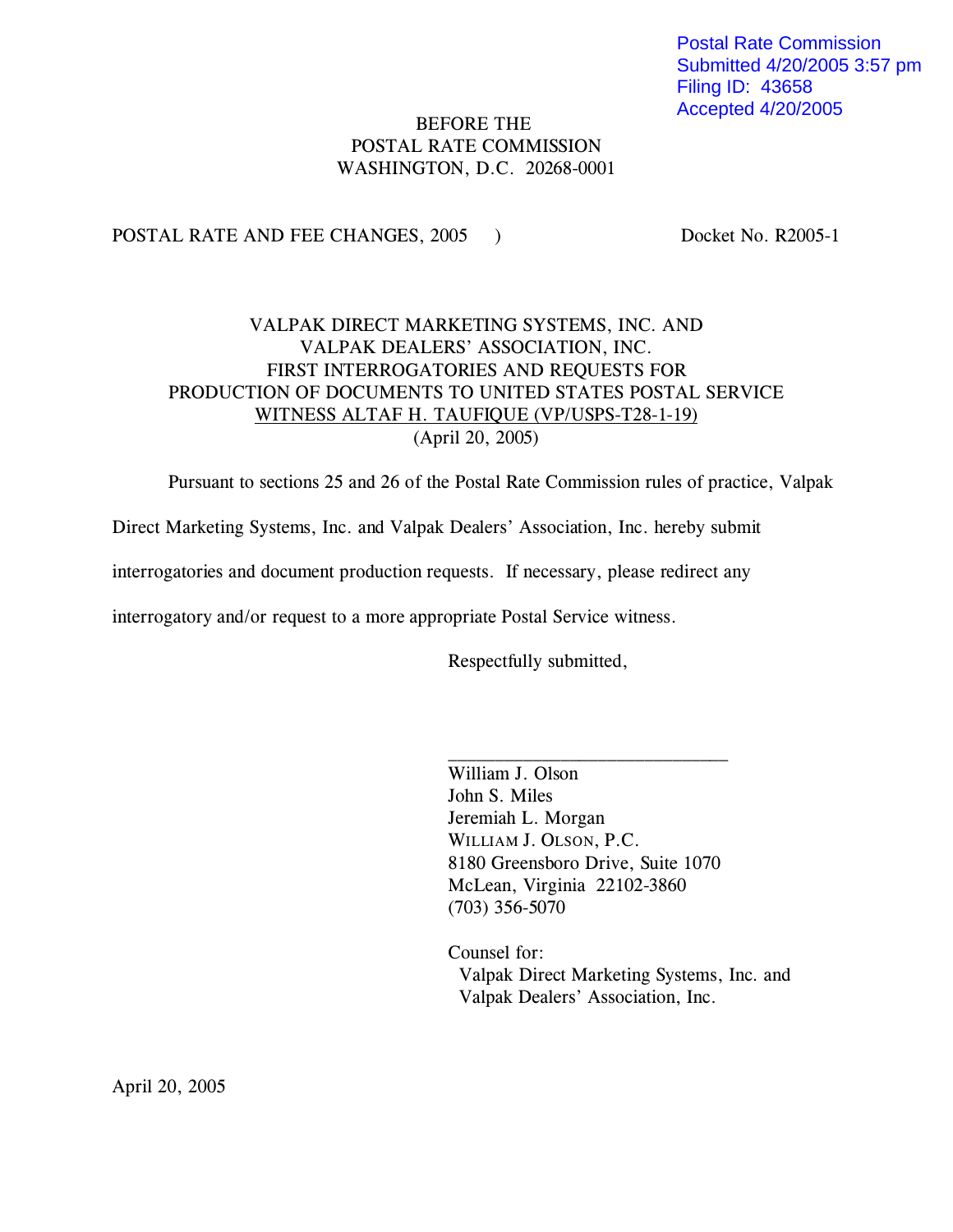Postal Rate Commission Submitted 4/20/2005 3:57 pm Filing ID: 43658 Accepted 4/20/2005

# BEFORE THE POSTAL RATE COMMISSION WASHINGTON, D.C. 20268-0001

POSTAL RATE AND FEE CHANGES, 2005 ) Docket No. R2005-1

# VALPAK DIRECT MARKETING SYSTEMS, INC. AND VALPAK DEALERS' ASSOCIATION, INC. FIRST INTERROGATORIES AND REQUESTS FOR PRODUCTION OF DOCUMENTS TO UNITED STATES POSTAL SERVICE WITNESS ALTAF H. TAUFIQUE (VP/USPS-T28-1-19) (April 20, 2005)

Pursuant to sections 25 and 26 of the Postal Rate Commission rules of practice, Valpak

Direct Marketing Systems, Inc. and Valpak Dealers' Association, Inc. hereby submit

interrogatories and document production requests. If necessary, please redirect any

interrogatory and/or request to a more appropriate Postal Service witness.

Respectfully submitted,

William J. Olson John S. Miles Jeremiah L. Morgan WILLIAM J. OLSON, P.C. 8180 Greensboro Drive, Suite 1070 McLean, Virginia 22102-3860 (703) 356-5070

 $\overline{\phantom{a}}$  , where  $\overline{\phantom{a}}$  , where  $\overline{\phantom{a}}$  , where  $\overline{\phantom{a}}$  , where  $\overline{\phantom{a}}$ 

Counsel for: Valpak Direct Marketing Systems, Inc. and Valpak Dealers' Association, Inc.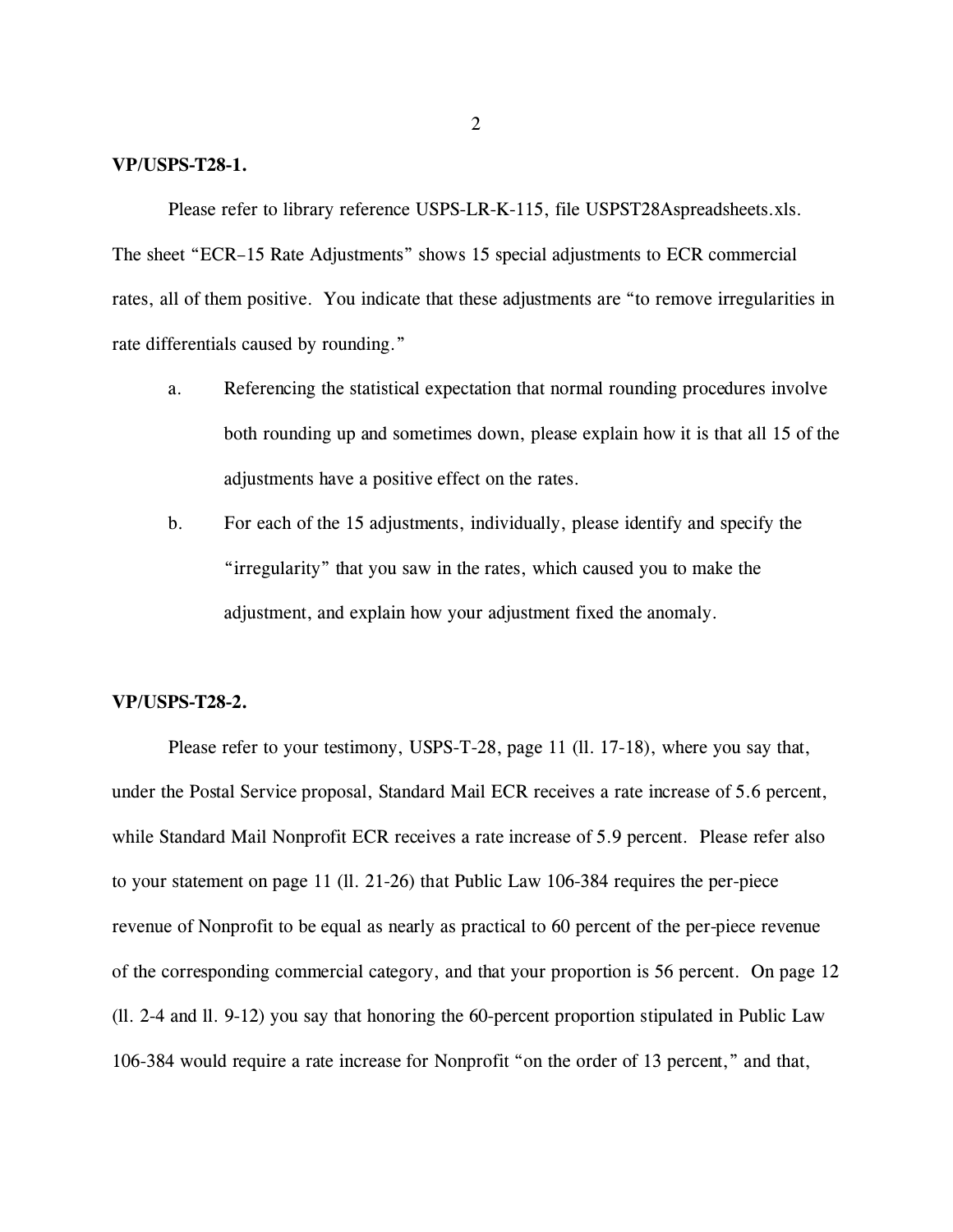#### **VP/USPS-T28-1.**

Please refer to library reference USPS-LR-K-115, file USPST28Aspreadsheets.xls. The sheet "ECR–15 Rate Adjustments" shows 15 special adjustments to ECR commercial rates, all of them positive. You indicate that these adjustments are "to remove irregularities in rate differentials caused by rounding."

- a. Referencing the statistical expectation that normal rounding procedures involve both rounding up and sometimes down, please explain how it is that all 15 of the adjustments have a positive effect on the rates.
- b. For each of the 15 adjustments, individually, please identify and specify the "irregularity" that you saw in the rates, which caused you to make the adjustment, and explain how your adjustment fixed the anomaly.

### **VP/USPS-T28-2.**

Please refer to your testimony, USPS-T-28, page 11 (ll. 17-18), where you say that, under the Postal Service proposal, Standard Mail ECR receives a rate increase of 5.6 percent, while Standard Mail Nonprofit ECR receives a rate increase of 5.9 percent. Please refer also to your statement on page 11 (ll. 21-26) that Public Law 106-384 requires the per-piece revenue of Nonprofit to be equal as nearly as practical to 60 percent of the per-piece revenue of the corresponding commercial category, and that your proportion is 56 percent. On page 12 (ll. 2-4 and ll. 9-12) you say that honoring the 60-percent proportion stipulated in Public Law 106-384 would require a rate increase for Nonprofit "on the order of 13 percent," and that,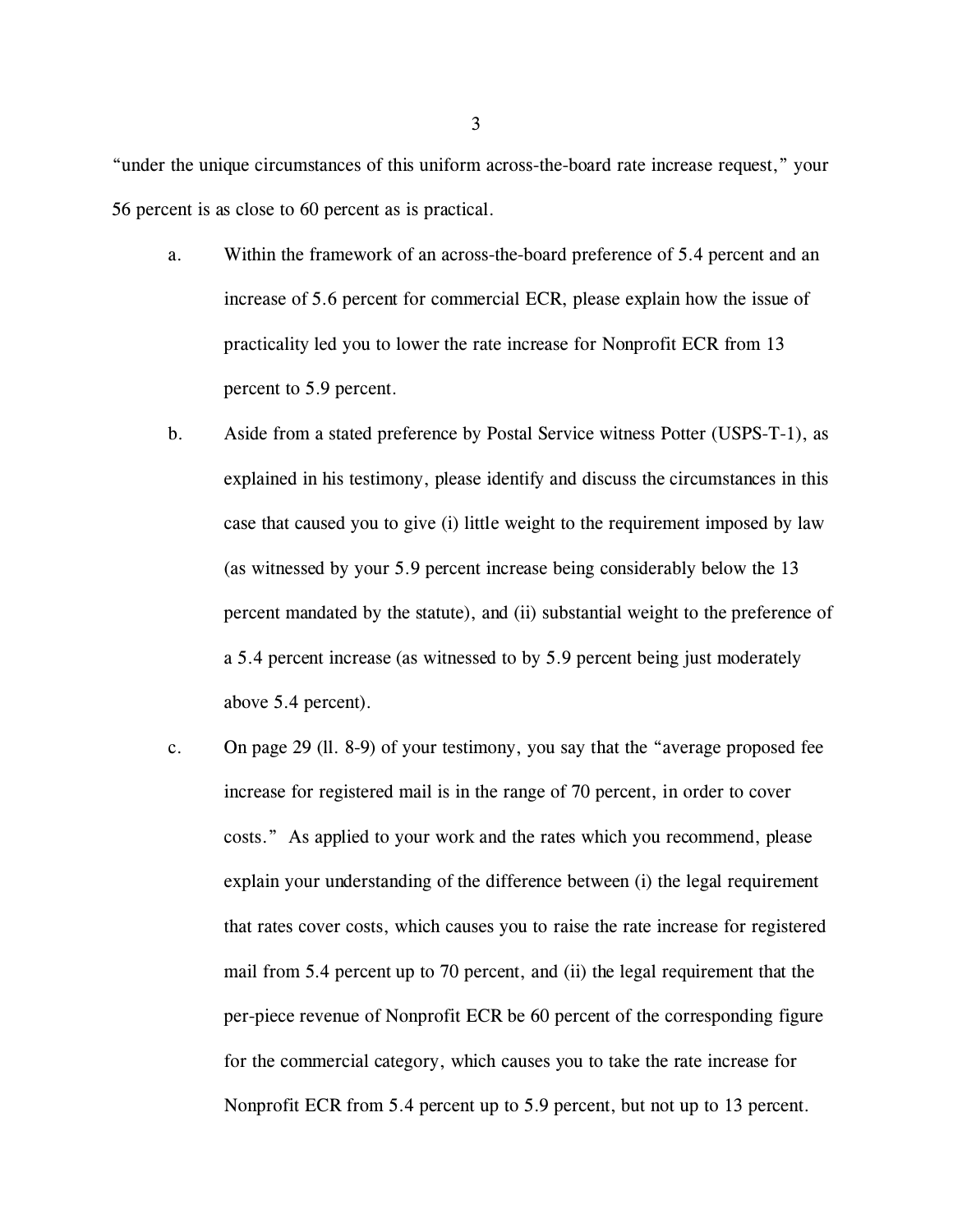"under the unique circumstances of this uniform across-the-board rate increase request," your 56 percent is as close to 60 percent as is practical.

- a. Within the framework of an across-the-board preference of 5.4 percent and an increase of 5.6 percent for commercial ECR, please explain how the issue of practicality led you to lower the rate increase for Nonprofit ECR from 13 percent to 5.9 percent.
- b. Aside from a stated preference by Postal Service witness Potter (USPS-T-1), as explained in his testimony, please identify and discuss the circumstances in this case that caused you to give (i) little weight to the requirement imposed by law (as witnessed by your 5.9 percent increase being considerably below the 13 percent mandated by the statute), and (ii) substantial weight to the preference of a 5.4 percent increase (as witnessed to by 5.9 percent being just moderately above 5.4 percent).
- c. On page 29 (ll. 8-9) of your testimony, you say that the "average proposed fee increase for registered mail is in the range of 70 percent, in order to cover costs." As applied to your work and the rates which you recommend, please explain your understanding of the difference between (i) the legal requirement that rates cover costs, which causes you to raise the rate increase for registered mail from 5.4 percent up to 70 percent, and (ii) the legal requirement that the per-piece revenue of Nonprofit ECR be 60 percent of the corresponding figure for the commercial category, which causes you to take the rate increase for Nonprofit ECR from 5.4 percent up to 5.9 percent, but not up to 13 percent.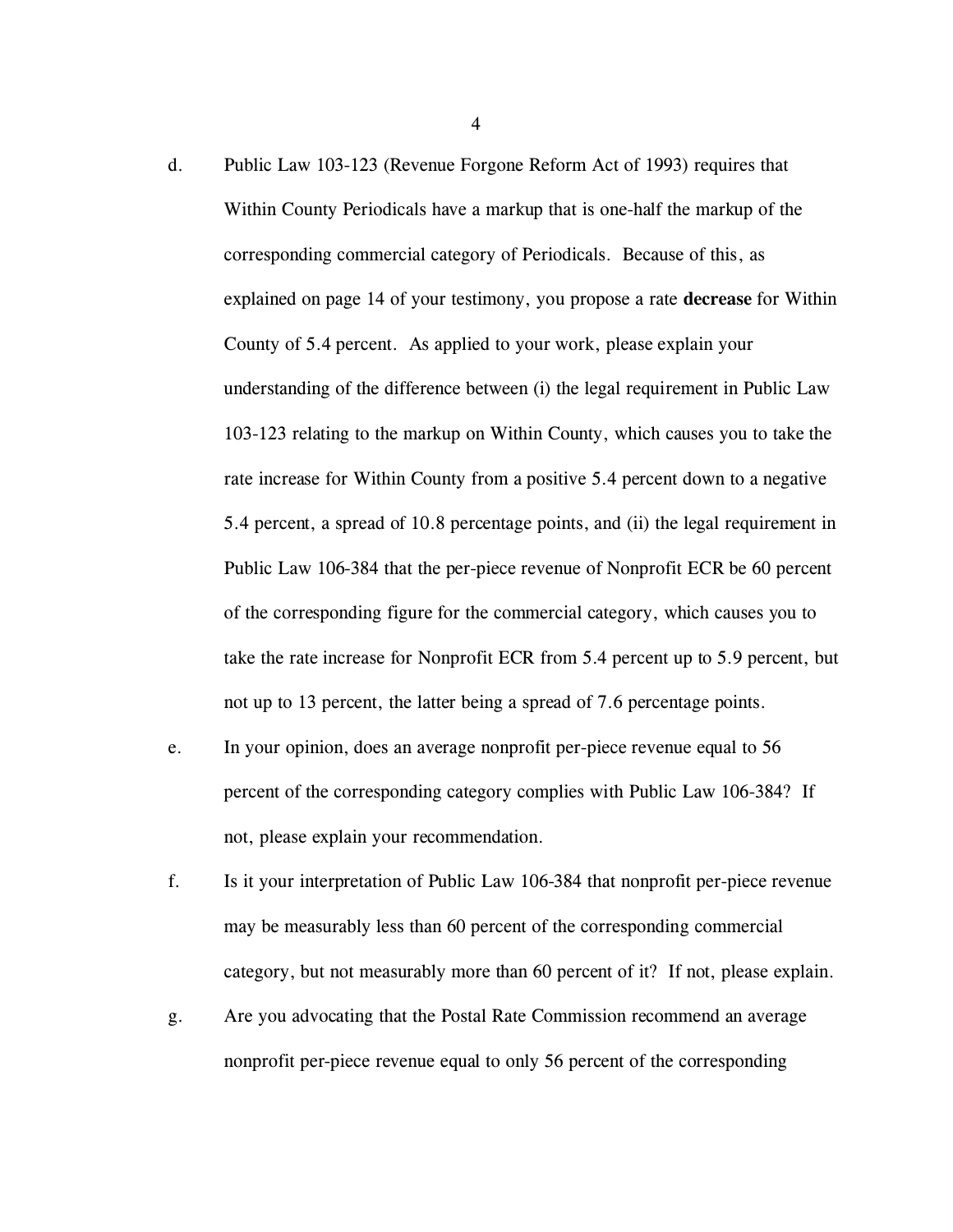- d. Public Law 103-123 (Revenue Forgone Reform Act of 1993) requires that Within County Periodicals have a markup that is one-half the markup of the corresponding commercial category of Periodicals. Because of this, as explained on page 14 of your testimony, you propose a rate **decrease** for Within County of 5.4 percent. As applied to your work, please explain your understanding of the difference between (i) the legal requirement in Public Law 103-123 relating to the markup on Within County, which causes you to take the rate increase for Within County from a positive 5.4 percent down to a negative 5.4 percent, a spread of 10.8 percentage points, and (ii) the legal requirement in Public Law 106-384 that the per-piece revenue of Nonprofit ECR be 60 percent of the corresponding figure for the commercial category, which causes you to take the rate increase for Nonprofit ECR from 5.4 percent up to 5.9 percent, but not up to 13 percent, the latter being a spread of 7.6 percentage points.
- e. In your opinion, does an average nonprofit per-piece revenue equal to 56 percent of the corresponding category complies with Public Law 106-384? If not, please explain your recommendation.
- f. Is it your interpretation of Public Law 106-384 that nonprofit per-piece revenue may be measurably less than 60 percent of the corresponding commercial category, but not measurably more than 60 percent of it? If not, please explain.
- g. Are you advocating that the Postal Rate Commission recommend an average nonprofit per-piece revenue equal to only 56 percent of the corresponding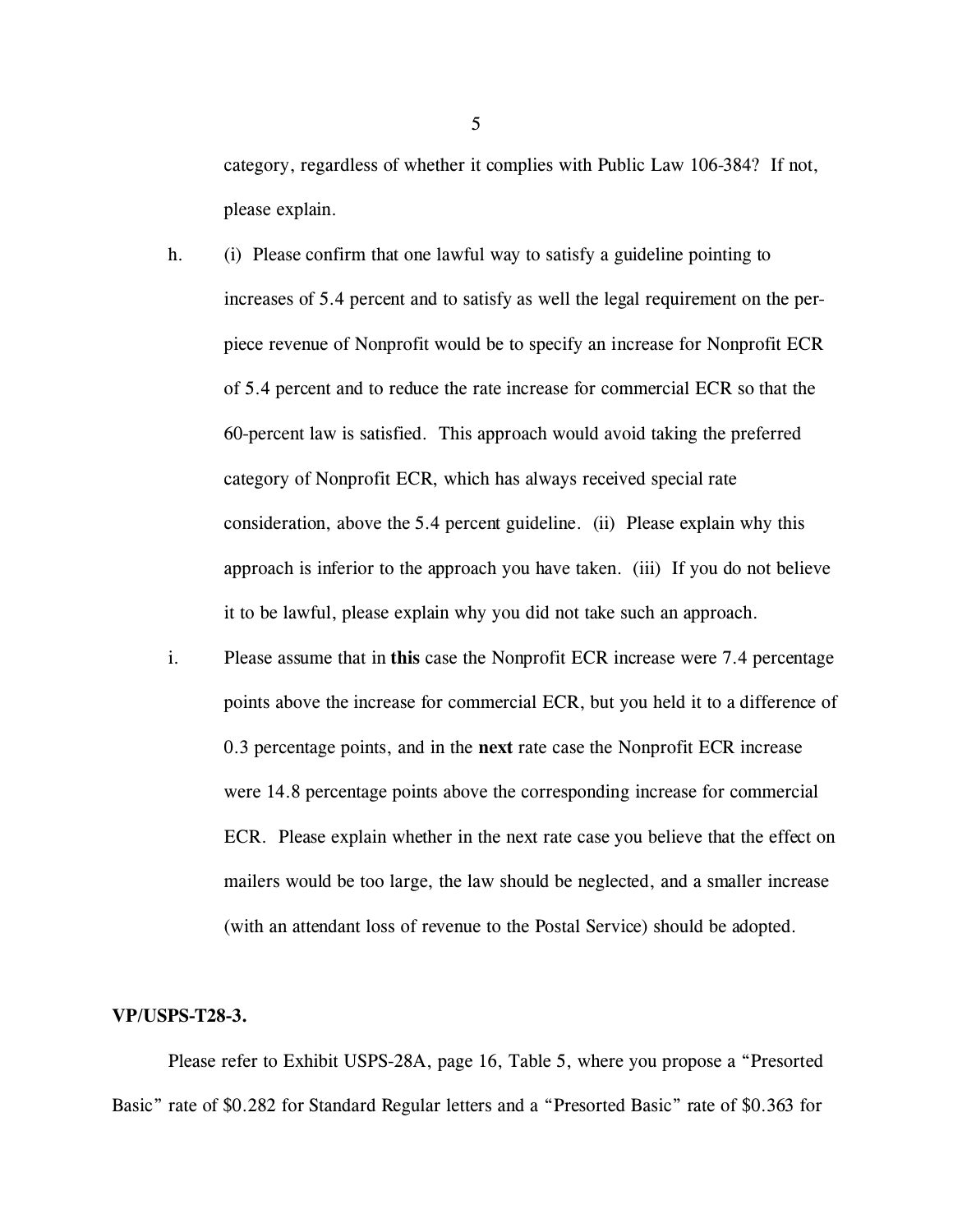category, regardless of whether it complies with Public Law 106-384? If not, please explain.

- h. (i) Please confirm that one lawful way to satisfy a guideline pointing to increases of 5.4 percent and to satisfy as well the legal requirement on the perpiece revenue of Nonprofit would be to specify an increase for Nonprofit ECR of 5.4 percent and to reduce the rate increase for commercial ECR so that the 60-percent law is satisfied. This approach would avoid taking the preferred category of Nonprofit ECR, which has always received special rate consideration, above the 5.4 percent guideline. (ii) Please explain why this approach is inferior to the approach you have taken. (iii) If you do not believe it to be lawful, please explain why you did not take such an approach.
- i. Please assume that in **this** case the Nonprofit ECR increase were 7.4 percentage points above the increase for commercial ECR, but you held it to a difference of 0.3 percentage points, and in the **next** rate case the Nonprofit ECR increase were 14.8 percentage points above the corresponding increase for commercial ECR. Please explain whether in the next rate case you believe that the effect on mailers would be too large, the law should be neglected, and a smaller increase (with an attendant loss of revenue to the Postal Service) should be adopted.

### **VP/USPS-T28-3.**

Please refer to Exhibit USPS-28A, page 16, Table 5, where you propose a "Presorted Basic" rate of \$0.282 for Standard Regular letters and a "Presorted Basic" rate of \$0.363 for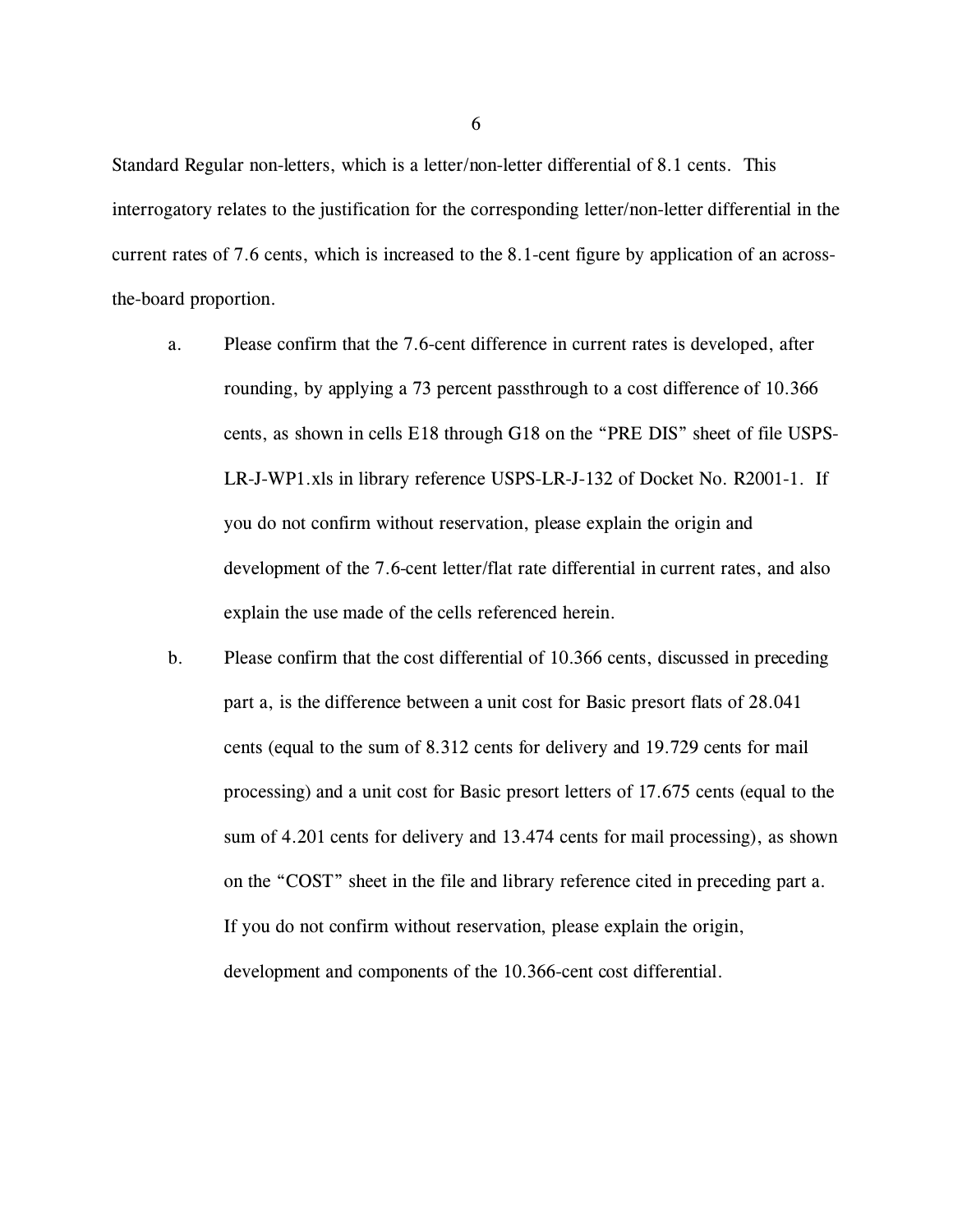Standard Regular non-letters, which is a letter/non-letter differential of 8.1 cents. This interrogatory relates to the justification for the corresponding letter/non-letter differential in the current rates of 7.6 cents, which is increased to the 8.1-cent figure by application of an acrossthe-board proportion.

- a. Please confirm that the 7.6-cent difference in current rates is developed, after rounding, by applying a 73 percent passthrough to a cost difference of 10.366 cents, as shown in cells E18 through G18 on the "PRE DIS" sheet of file USPS-LR-J-WP1.xls in library reference USPS-LR-J-132 of Docket No. R2001-1. If you do not confirm without reservation, please explain the origin and development of the 7.6-cent letter/flat rate differential in current rates, and also explain the use made of the cells referenced herein.
- b. Please confirm that the cost differential of 10.366 cents, discussed in preceding part a, is the difference between a unit cost for Basic presort flats of 28.041 cents (equal to the sum of 8.312 cents for delivery and 19.729 cents for mail processing) and a unit cost for Basic presort letters of 17.675 cents (equal to the sum of 4.201 cents for delivery and 13.474 cents for mail processing), as shown on the "COST" sheet in the file and library reference cited in preceding part a. If you do not confirm without reservation, please explain the origin, development and components of the 10.366-cent cost differential.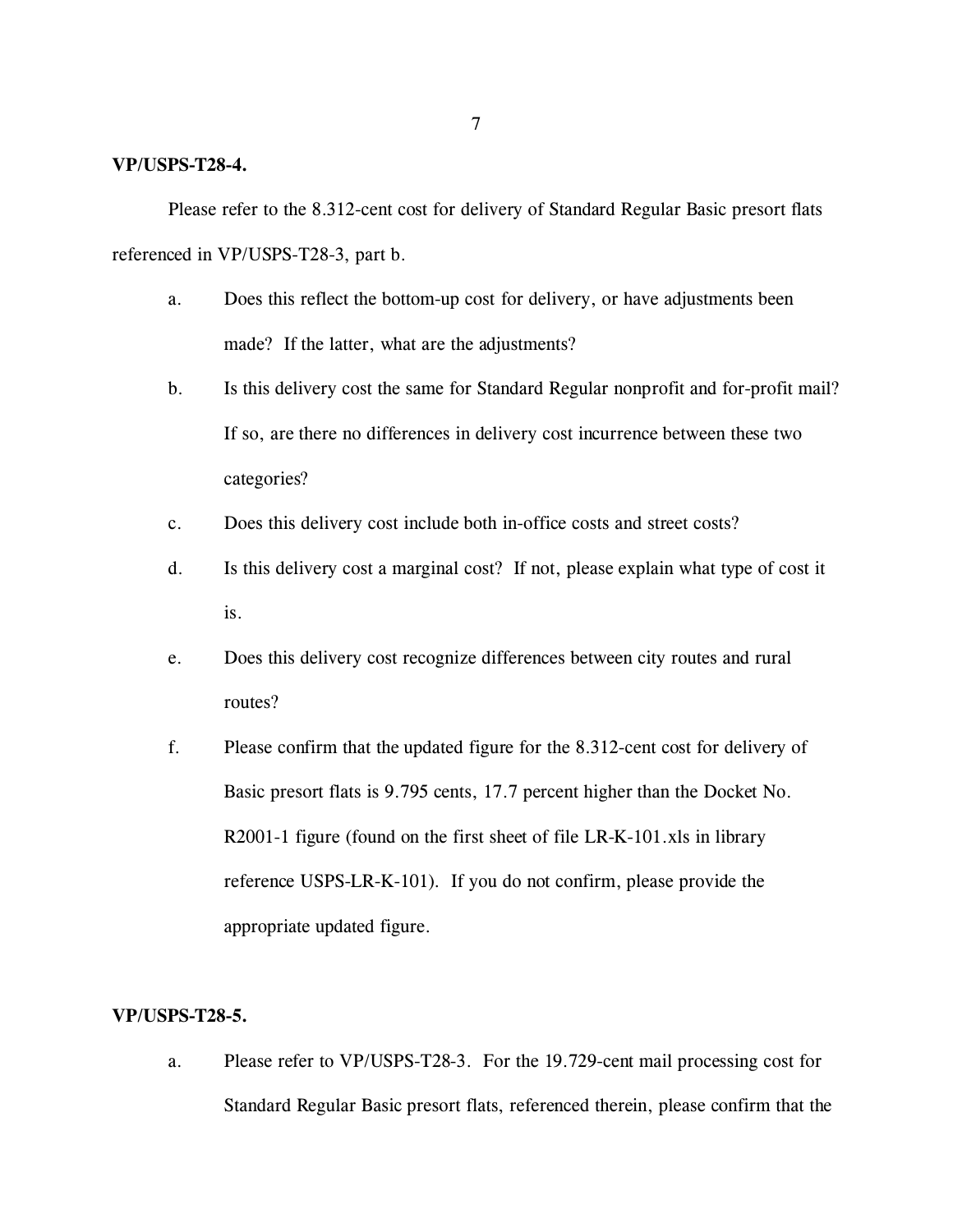### **VP/USPS-T28-4.**

Please refer to the 8.312-cent cost for delivery of Standard Regular Basic presort flats referenced in VP/USPS-T28-3, part b.

- a. Does this reflect the bottom-up cost for delivery, or have adjustments been made? If the latter, what are the adjustments?
- b. Is this delivery cost the same for Standard Regular nonprofit and for-profit mail? If so, are there no differences in delivery cost incurrence between these two categories?
- c. Does this delivery cost include both in-office costs and street costs?
- d. Is this delivery cost a marginal cost? If not, please explain what type of cost it is.
- e. Does this delivery cost recognize differences between city routes and rural routes?
- f. Please confirm that the updated figure for the 8.312-cent cost for delivery of Basic presort flats is 9.795 cents, 17.7 percent higher than the Docket No. R2001-1 figure (found on the first sheet of file LR-K-101.xls in library reference USPS-LR-K-101). If you do not confirm, please provide the appropriate updated figure.

### **VP/USPS-T28-5.**

a. Please refer to VP/USPS-T28-3. For the 19.729-cent mail processing cost for Standard Regular Basic presort flats, referenced therein, please confirm that the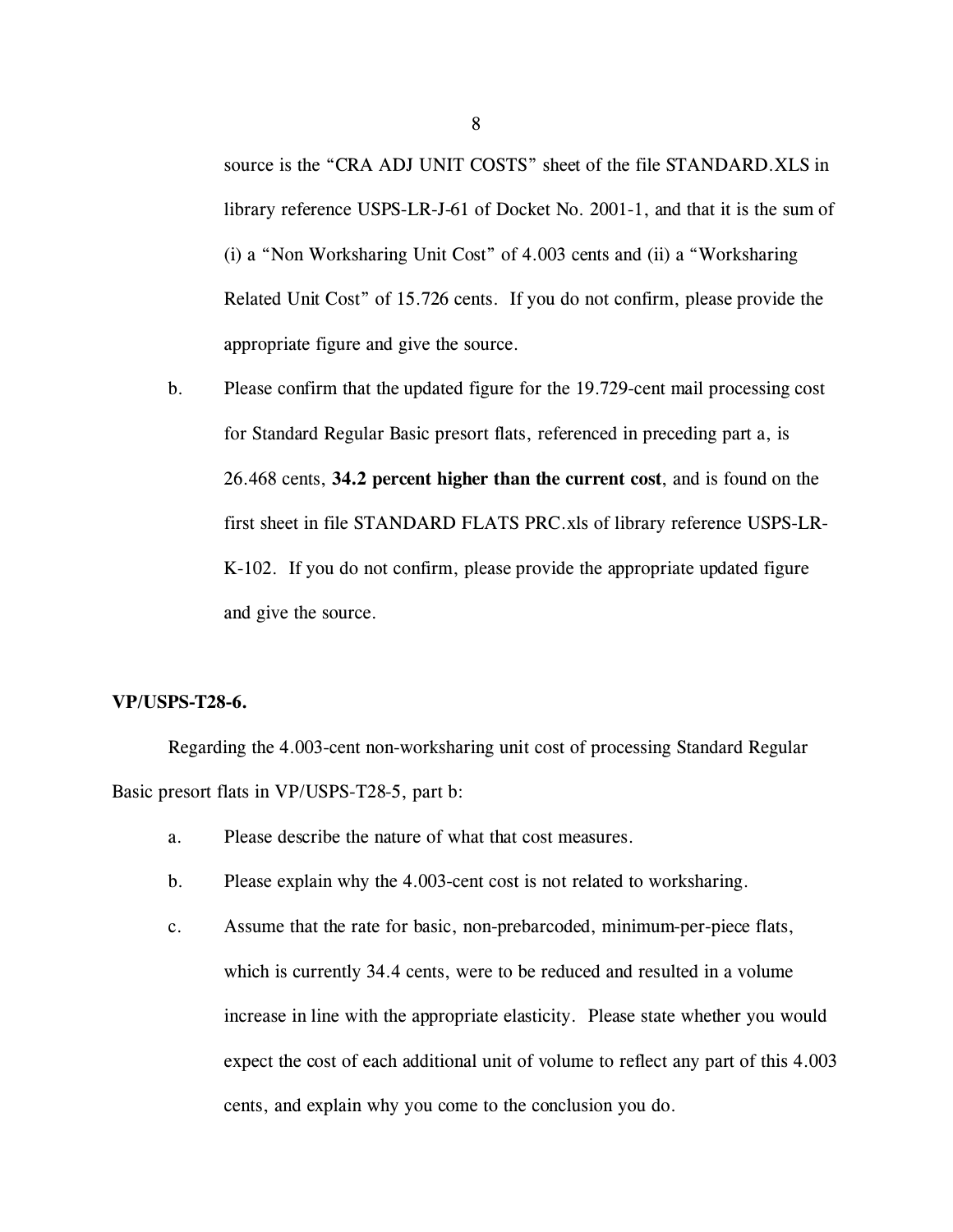source is the "CRA ADJ UNIT COSTS" sheet of the file STANDARD.XLS in library reference USPS-LR-J-61 of Docket No. 2001-1, and that it is the sum of (i) a "Non Worksharing Unit Cost" of 4.003 cents and (ii) a "Worksharing Related Unit Cost" of 15.726 cents. If you do not confirm, please provide the appropriate figure and give the source.

b. Please confirm that the updated figure for the 19.729-cent mail processing cost for Standard Regular Basic presort flats, referenced in preceding part a, is 26.468 cents, **34.2 percent higher than the current cost**, and is found on the first sheet in file STANDARD FLATS PRC.xls of library reference USPS-LR-K-102. If you do not confirm, please provide the appropriate updated figure and give the source.

### **VP/USPS-T28-6.**

Regarding the 4.003-cent non-worksharing unit cost of processing Standard Regular Basic presort flats in VP/USPS-T28-5, part b:

- a. Please describe the nature of what that cost measures.
- b. Please explain why the 4.003-cent cost is not related to worksharing.
- c. Assume that the rate for basic, non-prebarcoded, minimum-per-piece flats, which is currently 34.4 cents, were to be reduced and resulted in a volume increase in line with the appropriate elasticity. Please state whether you would expect the cost of each additional unit of volume to reflect any part of this 4.003 cents, and explain why you come to the conclusion you do.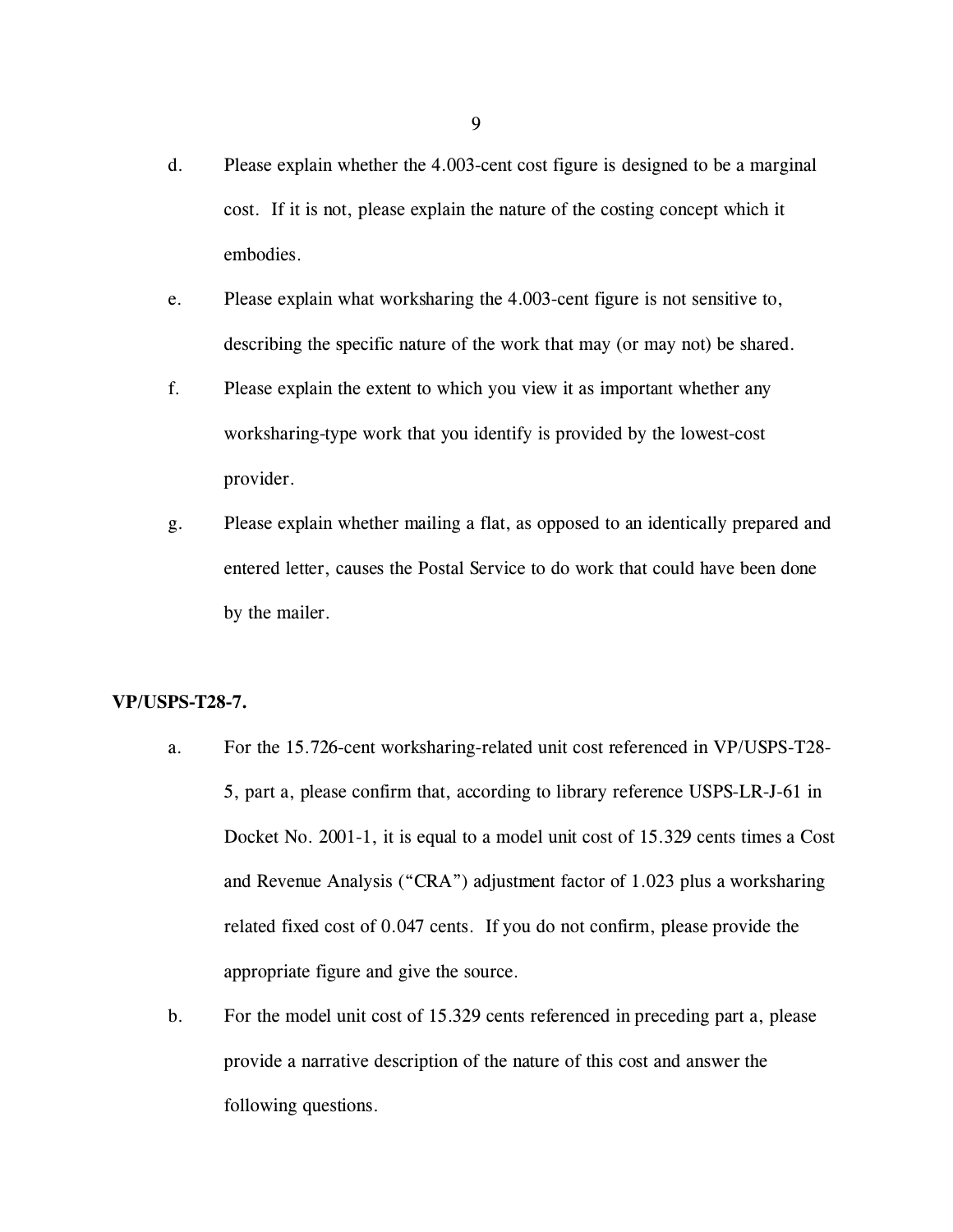- d. Please explain whether the 4.003-cent cost figure is designed to be a marginal cost. If it is not, please explain the nature of the costing concept which it embodies.
- e. Please explain what worksharing the 4.003-cent figure is not sensitive to, describing the specific nature of the work that may (or may not) be shared.
- f. Please explain the extent to which you view it as important whether any worksharing-type work that you identify is provided by the lowest-cost provider.
- g. Please explain whether mailing a flat, as opposed to an identically prepared and entered letter, causes the Postal Service to do work that could have been done by the mailer.

### **VP/USPS-T28-7.**

- a. For the 15.726-cent worksharing-related unit cost referenced in VP/USPS-T28- 5, part a, please confirm that, according to library reference USPS-LR-J-61 in Docket No. 2001-1, it is equal to a model unit cost of 15.329 cents times a Cost and Revenue Analysis ("CRA") adjustment factor of 1.023 plus a worksharing related fixed cost of 0.047 cents. If you do not confirm, please provide the appropriate figure and give the source.
- b. For the model unit cost of 15.329 cents referenced in preceding part a, please provide a narrative description of the nature of this cost and answer the following questions.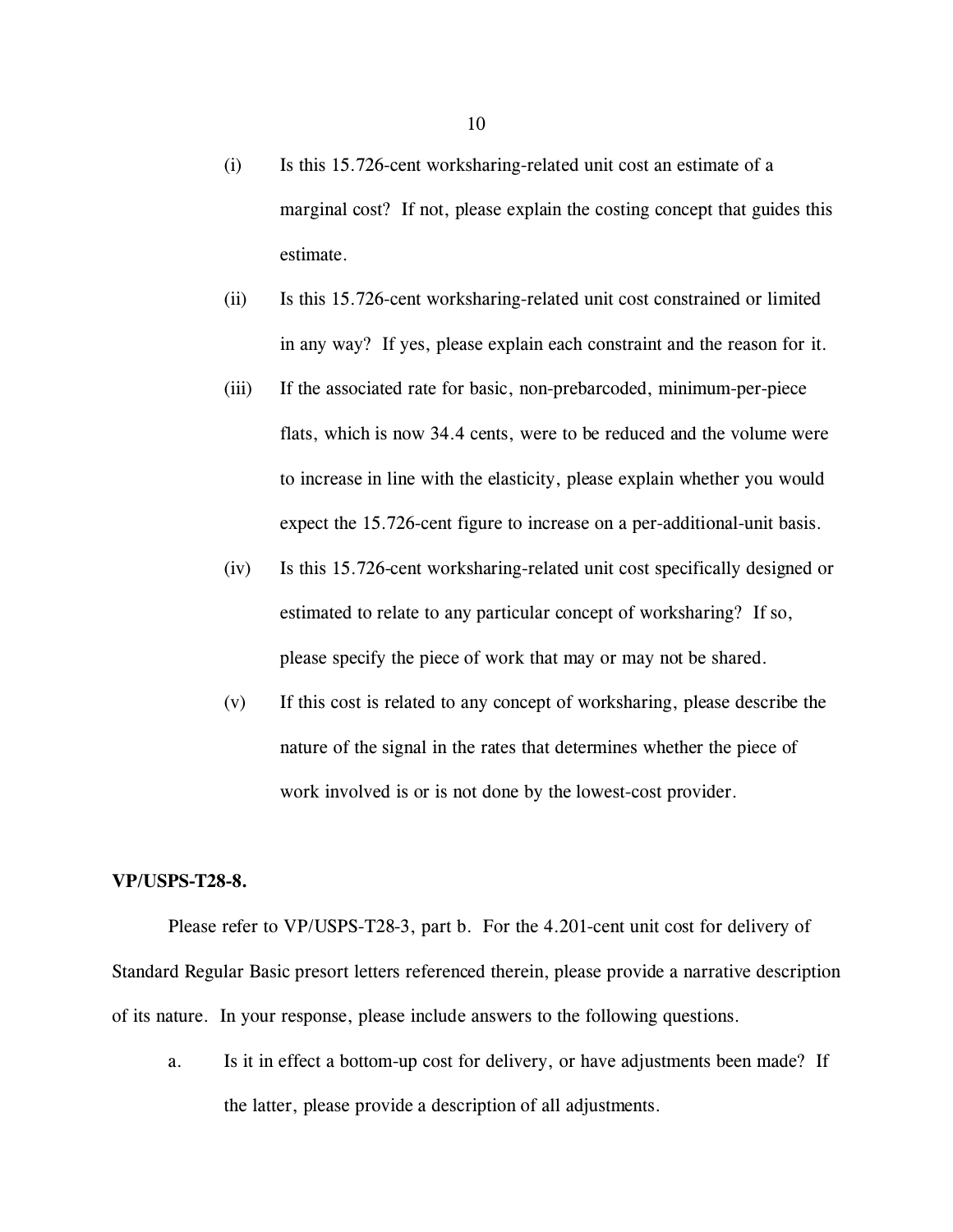- (i) Is this 15.726-cent worksharing-related unit cost an estimate of a marginal cost? If not, please explain the costing concept that guides this estimate.
- (ii) Is this 15.726-cent worksharing-related unit cost constrained or limited in any way? If yes, please explain each constraint and the reason for it.
- (iii) If the associated rate for basic, non-prebarcoded, minimum-per-piece flats, which is now 34.4 cents, were to be reduced and the volume were to increase in line with the elasticity, please explain whether you would expect the 15.726-cent figure to increase on a per-additional-unit basis.
- (iv) Is this 15.726-cent worksharing-related unit cost specifically designed or estimated to relate to any particular concept of worksharing? If so, please specify the piece of work that may or may not be shared.
- (v) If this cost is related to any concept of worksharing, please describe the nature of the signal in the rates that determines whether the piece of work involved is or is not done by the lowest-cost provider.

### **VP/USPS-T28-8.**

Please refer to VP/USPS-T28-3, part b. For the 4.201-cent unit cost for delivery of Standard Regular Basic presort letters referenced therein, please provide a narrative description of its nature. In your response, please include answers to the following questions.

a. Is it in effect a bottom-up cost for delivery, or have adjustments been made? If the latter, please provide a description of all adjustments.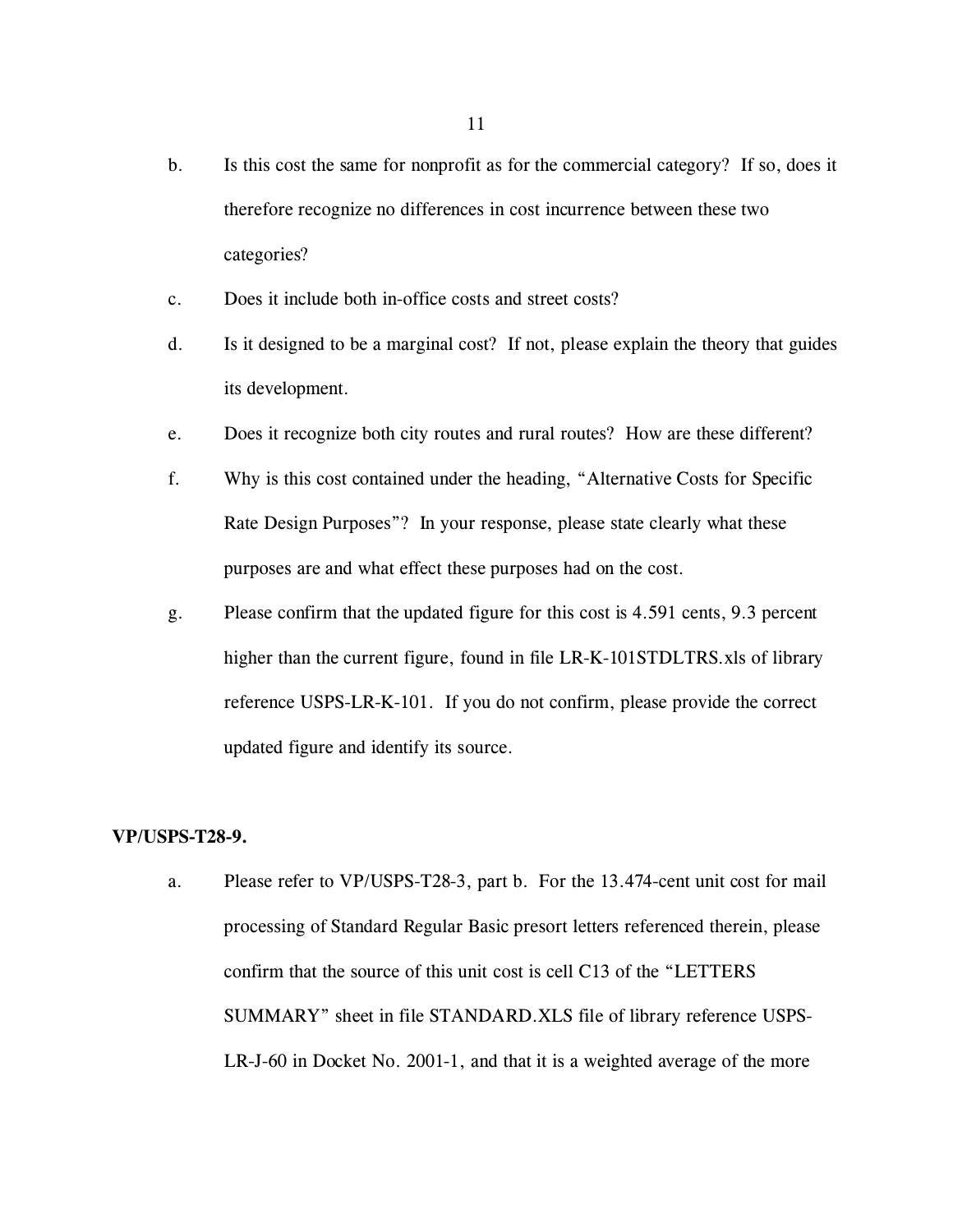- b. Is this cost the same for nonprofit as for the commercial category? If so, does it therefore recognize no differences in cost incurrence between these two categories?
- c. Does it include both in-office costs and street costs?
- d. Is it designed to be a marginal cost? If not, please explain the theory that guides its development.
- e. Does it recognize both city routes and rural routes? How are these different?
- f. Why is this cost contained under the heading, "Alternative Costs for Specific Rate Design Purposes"? In your response, please state clearly what these purposes are and what effect these purposes had on the cost.
- g. Please confirm that the updated figure for this cost is 4.591 cents, 9.3 percent higher than the current figure, found in file LR-K-101STDLTRS.xls of library reference USPS-LR-K-101. If you do not confirm, please provide the correct updated figure and identify its source.

### **VP/USPS-T28-9.**

a. Please refer to VP/USPS-T28-3, part b. For the 13.474-cent unit cost for mail processing of Standard Regular Basic presort letters referenced therein, please confirm that the source of this unit cost is cell C13 of the "LETTERS SUMMARY" sheet in file STANDARD.XLS file of library reference USPS-LR-J-60 in Docket No. 2001-1, and that it is a weighted average of the more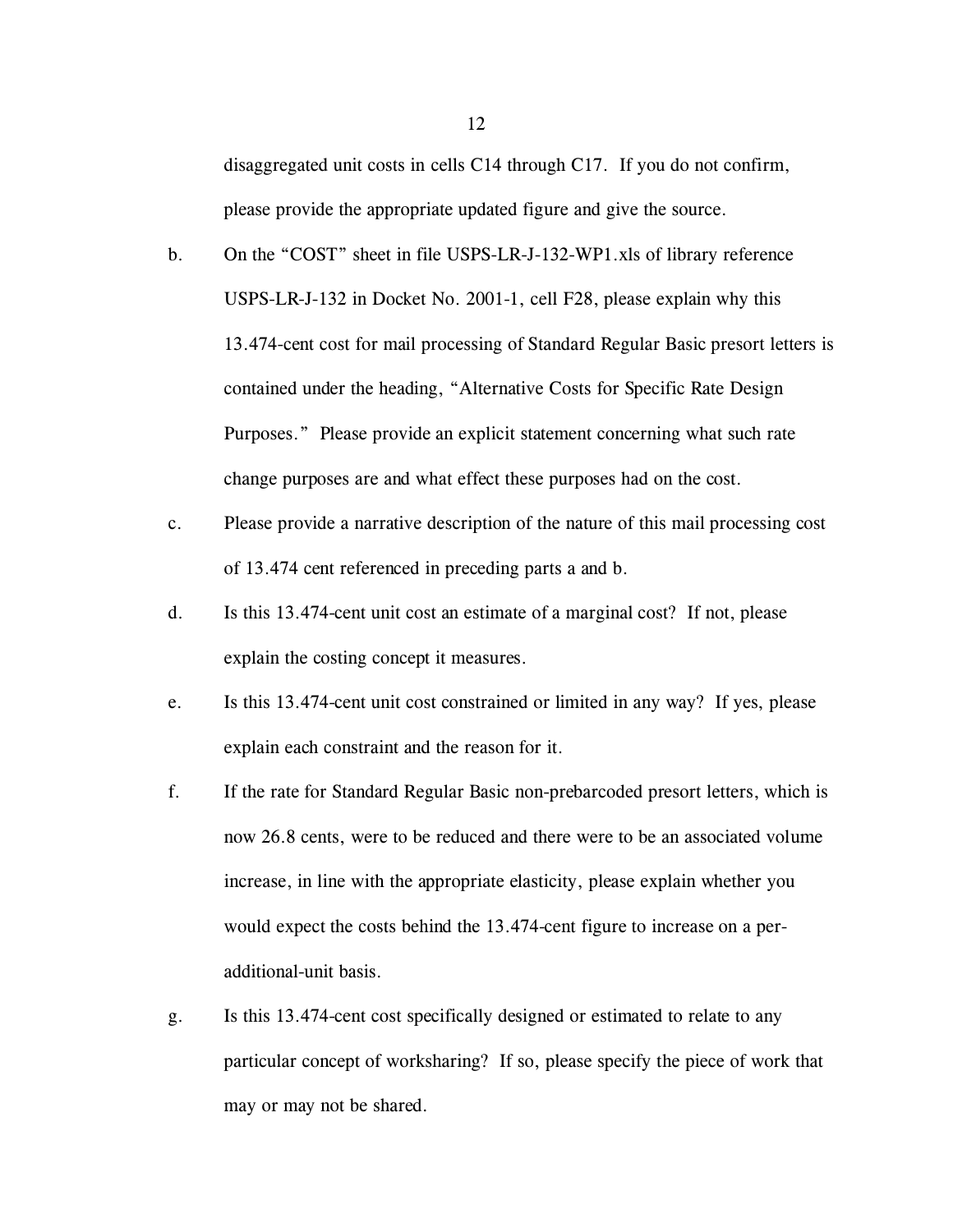disaggregated unit costs in cells C14 through C17. If you do not confirm, please provide the appropriate updated figure and give the source.

- b. On the "COST" sheet in file USPS-LR-J-132-WP1.xls of library reference USPS-LR-J-132 in Docket No. 2001-1, cell F28, please explain why this 13.474-cent cost for mail processing of Standard Regular Basic presort letters is contained under the heading, "Alternative Costs for Specific Rate Design Purposes." Please provide an explicit statement concerning what such rate change purposes are and what effect these purposes had on the cost.
- c. Please provide a narrative description of the nature of this mail processing cost of 13.474 cent referenced in preceding parts a and b.
- d. Is this 13.474-cent unit cost an estimate of a marginal cost? If not, please explain the costing concept it measures.
- e. Is this 13.474-cent unit cost constrained or limited in any way? If yes, please explain each constraint and the reason for it.
- f. If the rate for Standard Regular Basic non-prebarcoded presort letters, which is now 26.8 cents, were to be reduced and there were to be an associated volume increase, in line with the appropriate elasticity, please explain whether you would expect the costs behind the 13.474-cent figure to increase on a peradditional-unit basis.
- g. Is this 13.474-cent cost specifically designed or estimated to relate to any particular concept of worksharing? If so, please specify the piece of work that may or may not be shared.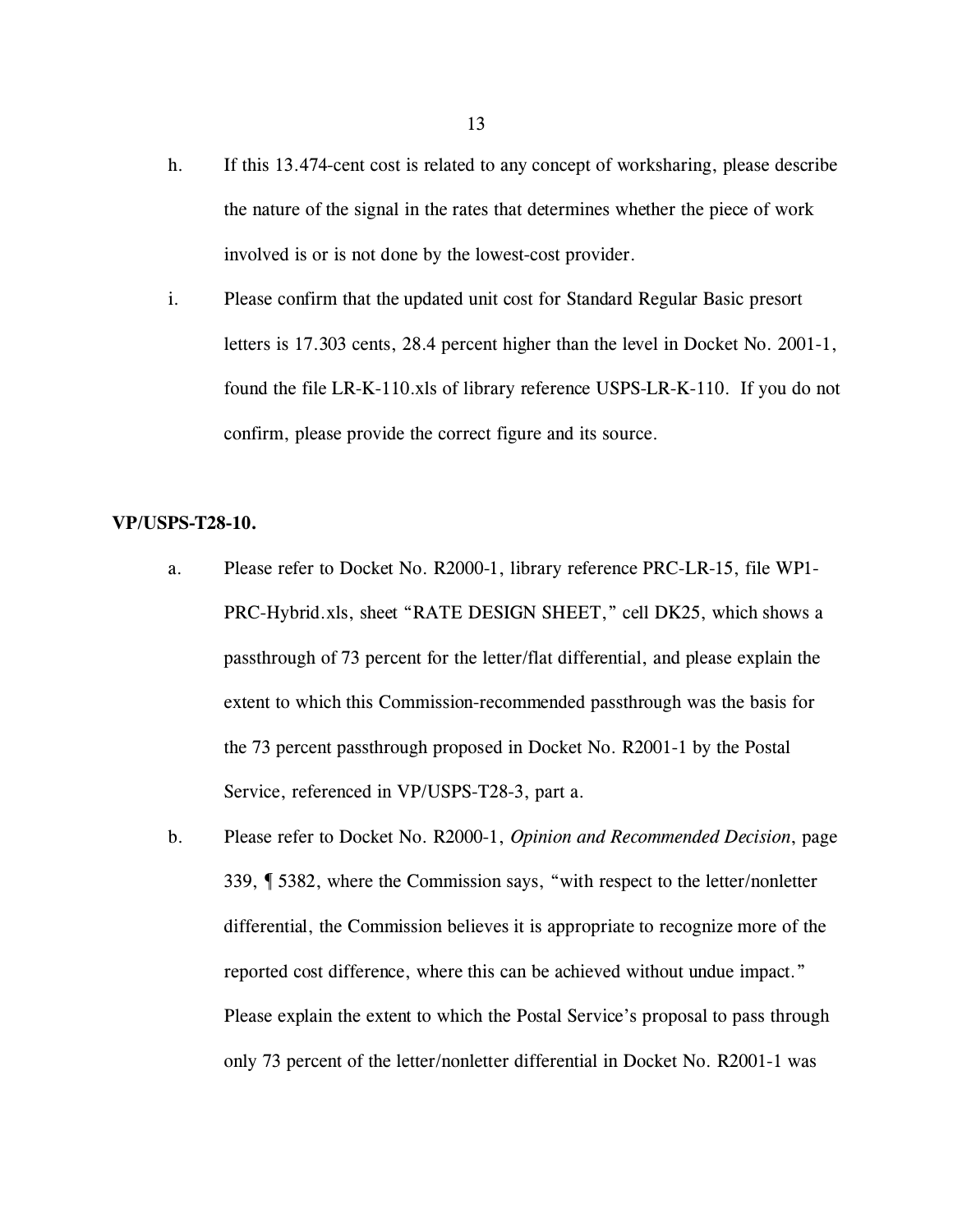- h. If this 13.474-cent cost is related to any concept of worksharing, please describe the nature of the signal in the rates that determines whether the piece of work involved is or is not done by the lowest-cost provider.
- i. Please confirm that the updated unit cost for Standard Regular Basic presort letters is 17.303 cents, 28.4 percent higher than the level in Docket No. 2001-1, found the file LR-K-110.xls of library reference USPS-LR-K-110. If you do not confirm, please provide the correct figure and its source.

### **VP/USPS-T28-10.**

- a. Please refer to Docket No. R2000-1, library reference PRC-LR-15, file WP1- PRC-Hybrid.xls, sheet "RATE DESIGN SHEET," cell DK25, which shows a passthrough of 73 percent for the letter/flat differential, and please explain the extent to which this Commission-recommended passthrough was the basis for the 73 percent passthrough proposed in Docket No. R2001-1 by the Postal Service, referenced in VP/USPS-T28-3, part a.
- b. Please refer to Docket No. R2000-1, *Opinion and Recommended Decision*, page 339, ¶ 5382, where the Commission says, "with respect to the letter/nonletter differential, the Commission believes it is appropriate to recognize more of the reported cost difference, where this can be achieved without undue impact." Please explain the extent to which the Postal Service's proposal to pass through only 73 percent of the letter/nonletter differential in Docket No. R2001-1 was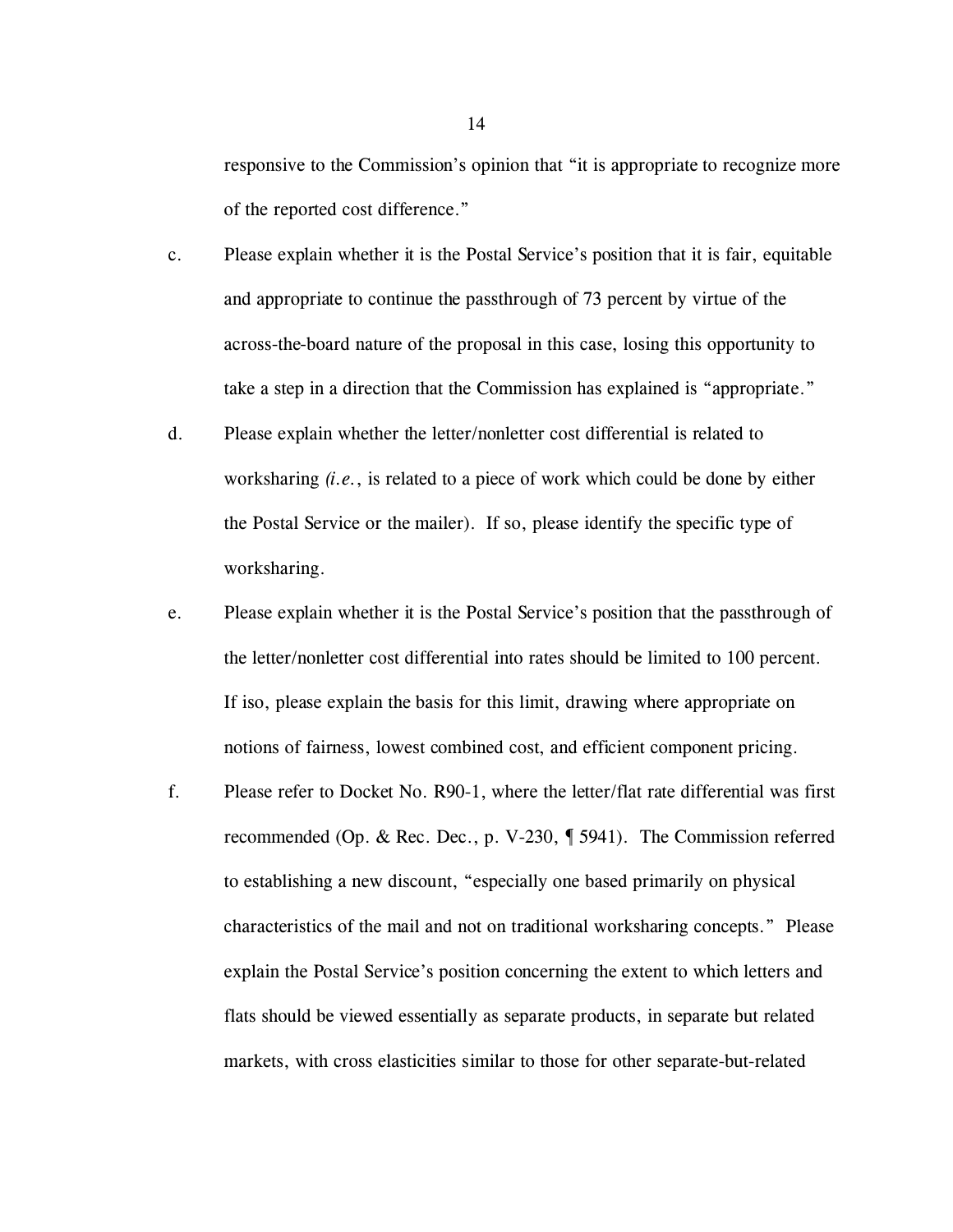responsive to the Commission's opinion that "it is appropriate to recognize more of the reported cost difference."

- c. Please explain whether it is the Postal Service's position that it is fair, equitable and appropriate to continue the passthrough of 73 percent by virtue of the across-the-board nature of the proposal in this case, losing this opportunity to take a step in a direction that the Commission has explained is "appropriate."
- d. Please explain whether the letter/nonletter cost differential is related to worksharing *(i.e.*, is related to a piece of work which could be done by either the Postal Service or the mailer). If so, please identify the specific type of worksharing.
- e. Please explain whether it is the Postal Service's position that the passthrough of the letter/nonletter cost differential into rates should be limited to 100 percent. If iso, please explain the basis for this limit, drawing where appropriate on notions of fairness, lowest combined cost, and efficient component pricing.
- f. Please refer to Docket No. R90-1, where the letter/flat rate differential was first recommended (Op. & Rec. Dec., p. V-230, ¶ 5941). The Commission referred to establishing a new discount, "especially one based primarily on physical characteristics of the mail and not on traditional worksharing concepts." Please explain the Postal Service's position concerning the extent to which letters and flats should be viewed essentially as separate products, in separate but related markets, with cross elasticities similar to those for other separate-but-related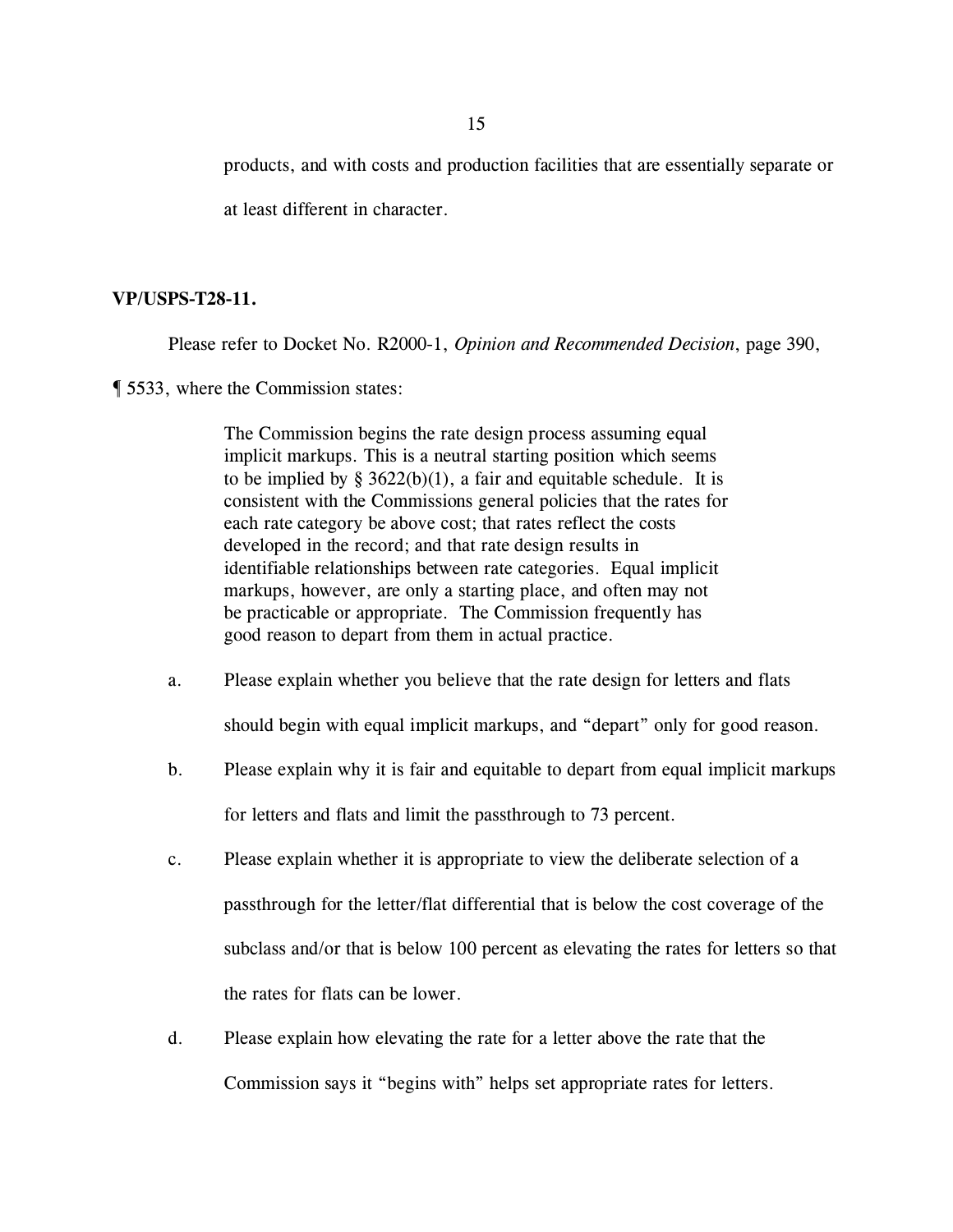products, and with costs and production facilities that are essentially separate or

at least different in character.

# **VP/USPS-T28-11.**

Please refer to Docket No. R2000-1, *Opinion and Recommended Decision*, page 390,

¶ 5533, where the Commission states:

The Commission begins the rate design process assuming equal implicit markups. This is a neutral starting position which seems to be implied by §  $3622(b)(1)$ , a fair and equitable schedule. It is consistent with the Commissions general policies that the rates for each rate category be above cost; that rates reflect the costs developed in the record; and that rate design results in identifiable relationships between rate categories. Equal implicit markups, however, are only a starting place, and often may not be practicable or appropriate. The Commission frequently has good reason to depart from them in actual practice.

a. Please explain whether you believe that the rate design for letters and flats

should begin with equal implicit markups, and "depart" only for good reason.

- b. Please explain why it is fair and equitable to depart from equal implicit markups for letters and flats and limit the passthrough to 73 percent.
- c. Please explain whether it is appropriate to view the deliberate selection of a passthrough for the letter/flat differential that is below the cost coverage of the subclass and/or that is below 100 percent as elevating the rates for letters so that the rates for flats can be lower.
- d. Please explain how elevating the rate for a letter above the rate that the Commission says it "begins with" helps set appropriate rates for letters.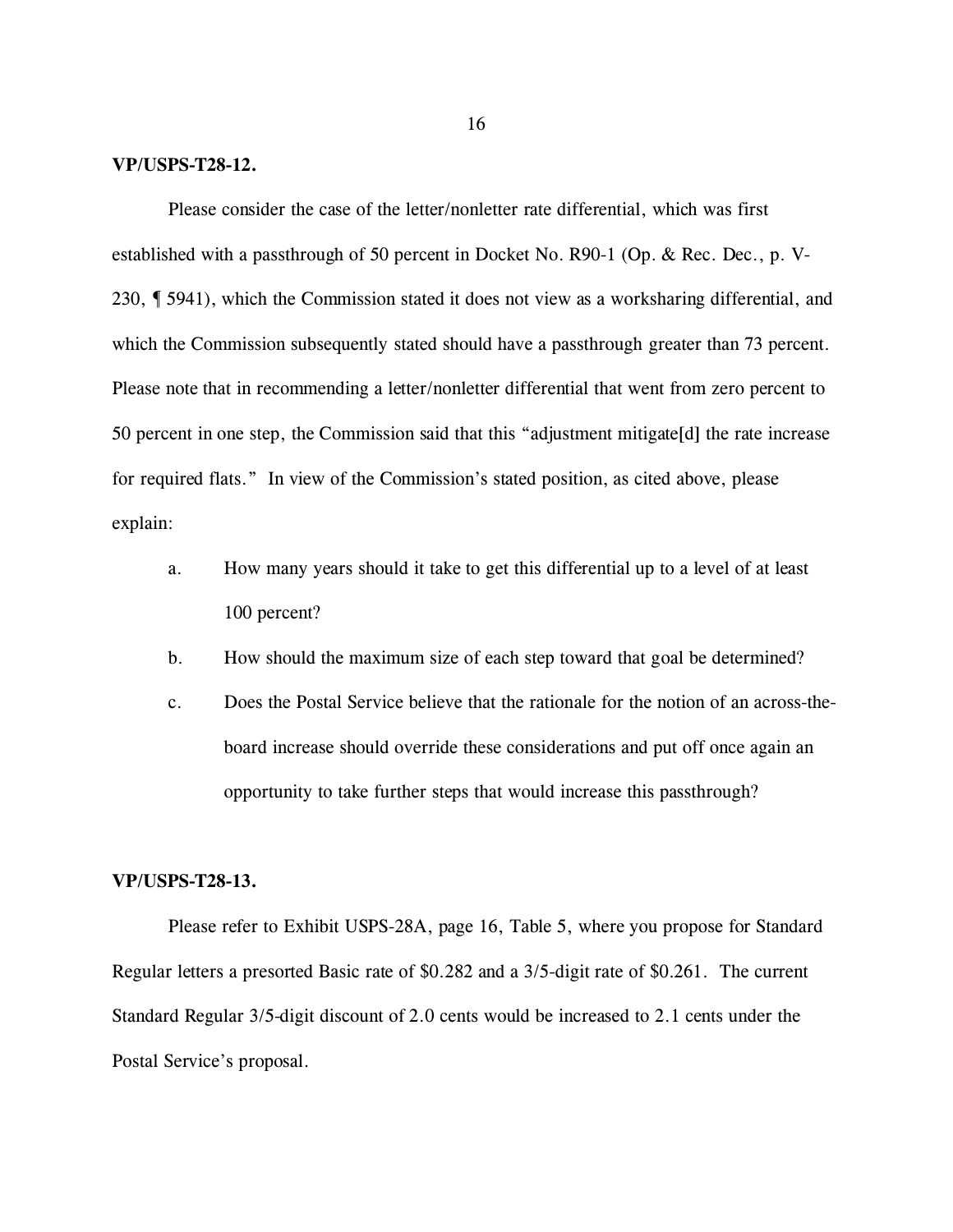### **VP/USPS-T28-12.**

Please consider the case of the letter/nonletter rate differential, which was first established with a passthrough of 50 percent in Docket No. R90-1 (Op. & Rec. Dec., p. V-230, ¶ 5941), which the Commission stated it does not view as a worksharing differential, and which the Commission subsequently stated should have a passthrough greater than 73 percent. Please note that in recommending a letter/nonletter differential that went from zero percent to 50 percent in one step, the Commission said that this "adjustment mitigate[d] the rate increase for required flats." In view of the Commission's stated position, as cited above, please explain:

- a. How many years should it take to get this differential up to a level of at least 100 percent?
- b. How should the maximum size of each step toward that goal be determined?
- c. Does the Postal Service believe that the rationale for the notion of an across-theboard increase should override these considerations and put off once again an opportunity to take further steps that would increase this passthrough?

# **VP/USPS-T28-13.**

Please refer to Exhibit USPS-28A, page 16, Table 5, where you propose for Standard Regular letters a presorted Basic rate of \$0.282 and a 3/5-digit rate of \$0.261. The current Standard Regular 3/5-digit discount of 2.0 cents would be increased to 2.1 cents under the Postal Service's proposal.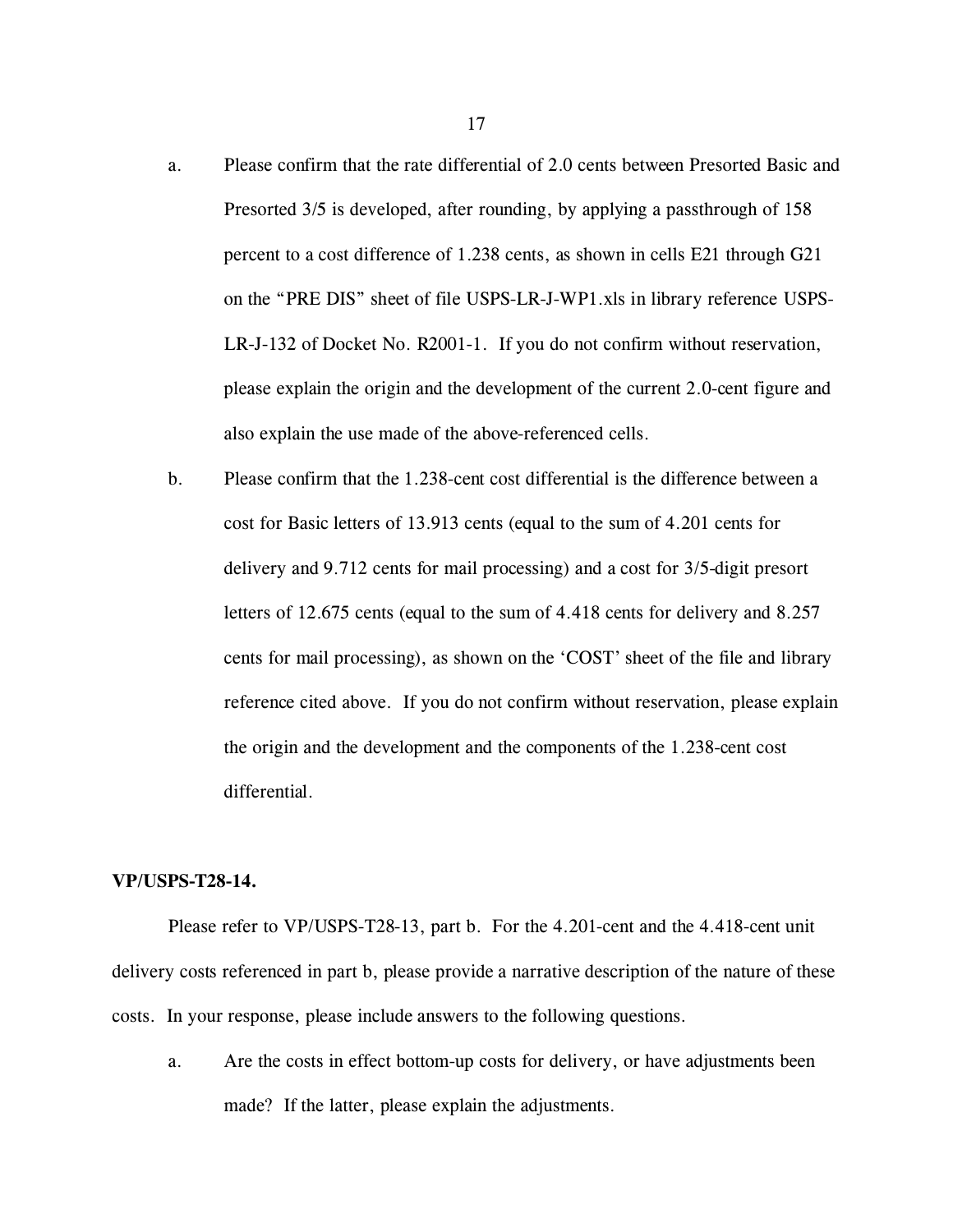- a. Please confirm that the rate differential of 2.0 cents between Presorted Basic and Presorted 3/5 is developed, after rounding, by applying a passthrough of 158 percent to a cost difference of 1.238 cents, as shown in cells E21 through G21 on the "PRE DIS" sheet of file USPS-LR-J-WP1.xls in library reference USPS-LR-J-132 of Docket No. R2001-1. If you do not confirm without reservation, please explain the origin and the development of the current 2.0-cent figure and also explain the use made of the above-referenced cells.
- b. Please confirm that the 1.238-cent cost differential is the difference between a cost for Basic letters of 13.913 cents (equal to the sum of 4.201 cents for delivery and 9.712 cents for mail processing) and a cost for 3/5-digit presort letters of 12.675 cents (equal to the sum of 4.418 cents for delivery and 8.257 cents for mail processing), as shown on the 'COST' sheet of the file and library reference cited above. If you do not confirm without reservation, please explain the origin and the development and the components of the 1.238-cent cost differential.

### **VP/USPS-T28-14.**

Please refer to VP/USPS-T28-13, part b. For the 4.201-cent and the 4.418-cent unit delivery costs referenced in part b, please provide a narrative description of the nature of these costs. In your response, please include answers to the following questions.

a. Are the costs in effect bottom-up costs for delivery, or have adjustments been made? If the latter, please explain the adjustments.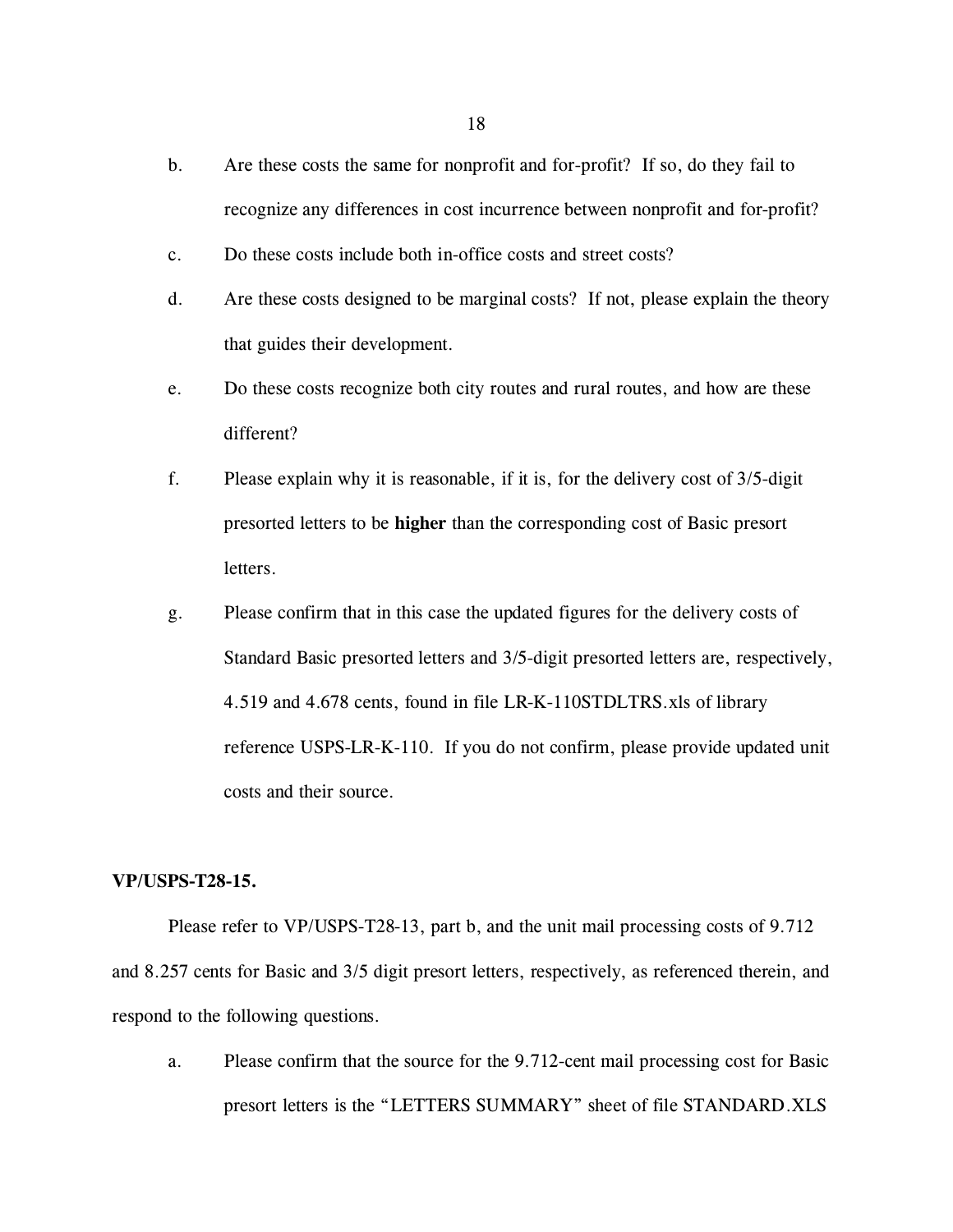- b. Are these costs the same for nonprofit and for-profit? If so, do they fail to recognize any differences in cost incurrence between nonprofit and for-profit?
- c. Do these costs include both in-office costs and street costs?
- d. Are these costs designed to be marginal costs? If not, please explain the theory that guides their development.
- e. Do these costs recognize both city routes and rural routes, and how are these different?
- f. Please explain why it is reasonable, if it is, for the delivery cost of 3/5-digit presorted letters to be **higher** than the corresponding cost of Basic presort letters.
- g. Please confirm that in this case the updated figures for the delivery costs of Standard Basic presorted letters and 3/5-digit presorted letters are, respectively, 4.519 and 4.678 cents, found in file LR-K-110STDLTRS.xls of library reference USPS-LR-K-110. If you do not confirm, please provide updated unit costs and their source.

# **VP/USPS-T28-15.**

Please refer to VP/USPS-T28-13, part b, and the unit mail processing costs of 9.712 and 8.257 cents for Basic and 3/5 digit presort letters, respectively, as referenced therein, and respond to the following questions.

a. Please confirm that the source for the 9.712-cent mail processing cost for Basic presort letters is the "LETTERS SUMMARY" sheet of file STANDARD.XLS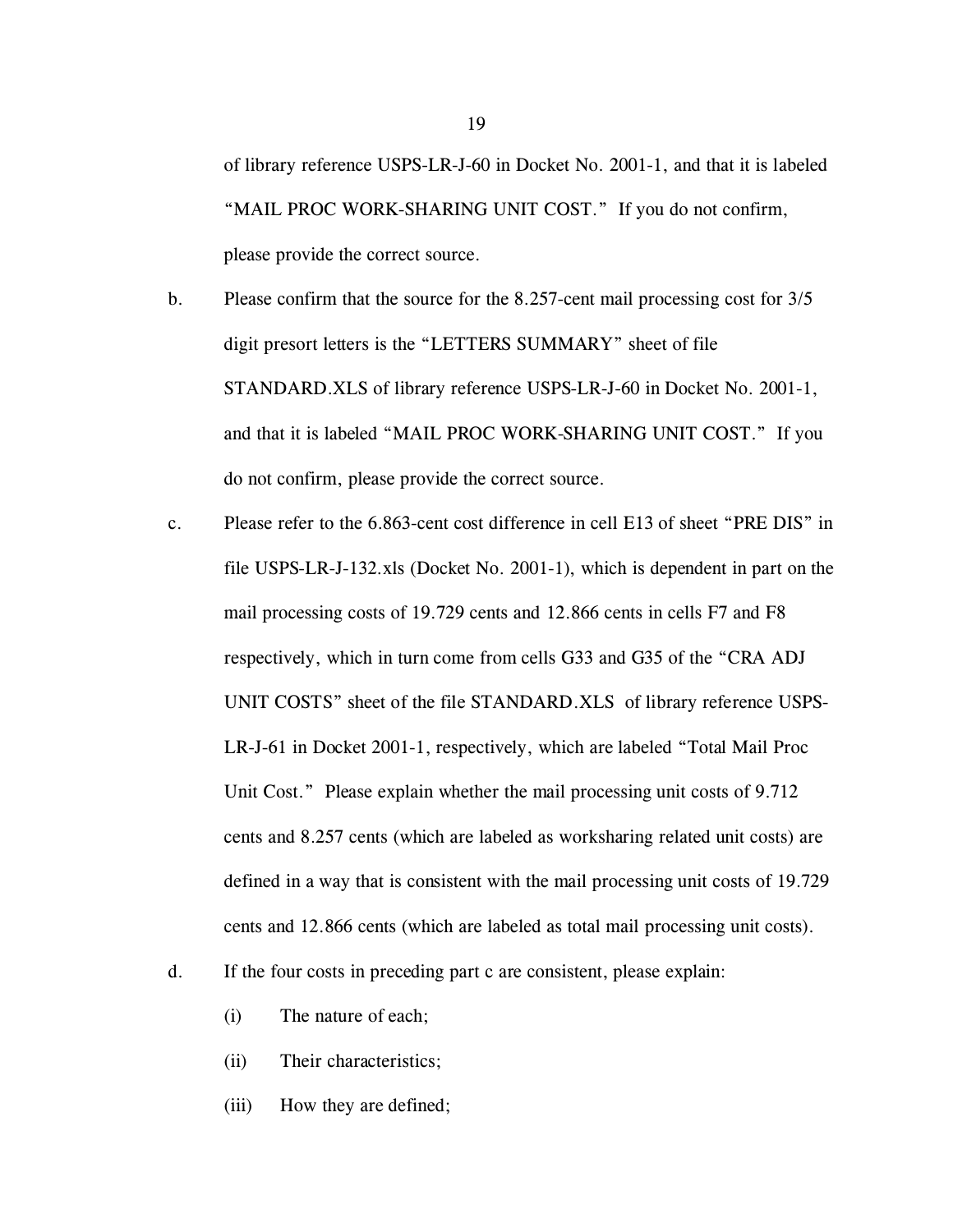of library reference USPS-LR-J-60 in Docket No. 2001-1, and that it is labeled "MAIL PROC WORK-SHARING UNIT COST." If you do not confirm, please provide the correct source.

- b. Please confirm that the source for the 8.257-cent mail processing cost for 3/5 digit presort letters is the "LETTERS SUMMARY" sheet of file STANDARD.XLS of library reference USPS-LR-J-60 in Docket No. 2001-1, and that it is labeled "MAIL PROC WORK-SHARING UNIT COST." If you do not confirm, please provide the correct source.
- c. Please refer to the 6.863-cent cost difference in cell E13 of sheet "PRE DIS" in file USPS-LR-J-132.xls (Docket No. 2001-1), which is dependent in part on the mail processing costs of 19.729 cents and 12.866 cents in cells F7 and F8 respectively, which in turn come from cells G33 and G35 of the "CRA ADJ UNIT COSTS" sheet of the file STANDARD.XLS of library reference USPS-LR-J-61 in Docket 2001-1, respectively, which are labeled "Total Mail Proc Unit Cost." Please explain whether the mail processing unit costs of 9.712 cents and 8.257 cents (which are labeled as worksharing related unit costs) are defined in a way that is consistent with the mail processing unit costs of 19.729 cents and 12.866 cents (which are labeled as total mail processing unit costs).
- d. If the four costs in preceding part c are consistent, please explain:
	- (i) The nature of each;
	- (ii) Their characteristics;
	- (iii) How they are defined;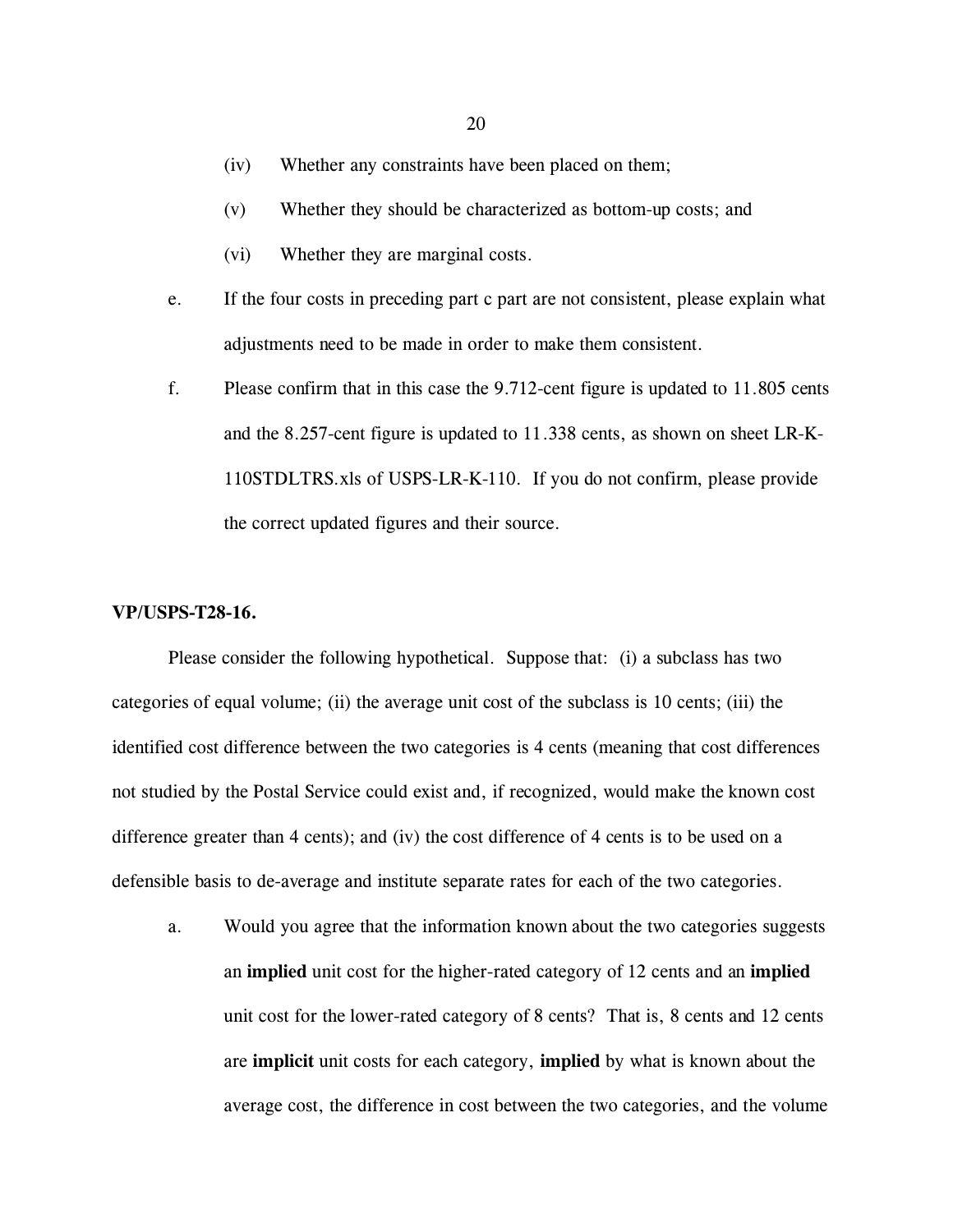- (iv) Whether any constraints have been placed on them;
- (v) Whether they should be characterized as bottom-up costs; and
- (vi) Whether they are marginal costs.
- e. If the four costs in preceding part c part are not consistent, please explain what adjustments need to be made in order to make them consistent.
- f. Please confirm that in this case the 9.712-cent figure is updated to 11.805 cents and the 8.257-cent figure is updated to 11.338 cents, as shown on sheet LR-K-110STDLTRS.xls of USPS-LR-K-110. If you do not confirm, please provide the correct updated figures and their source.

#### **VP/USPS-T28-16.**

Please consider the following hypothetical. Suppose that: (i) a subclass has two categories of equal volume; (ii) the average unit cost of the subclass is 10 cents; (iii) the identified cost difference between the two categories is 4 cents (meaning that cost differences not studied by the Postal Service could exist and, if recognized, would make the known cost difference greater than 4 cents); and (iv) the cost difference of 4 cents is to be used on a defensible basis to de-average and institute separate rates for each of the two categories.

a. Would you agree that the information known about the two categories suggests an **implied** unit cost for the higher-rated category of 12 cents and an **implied** unit cost for the lower-rated category of 8 cents? That is, 8 cents and 12 cents are **implicit** unit costs for each category, **implied** by what is known about the average cost, the difference in cost between the two categories, and the volume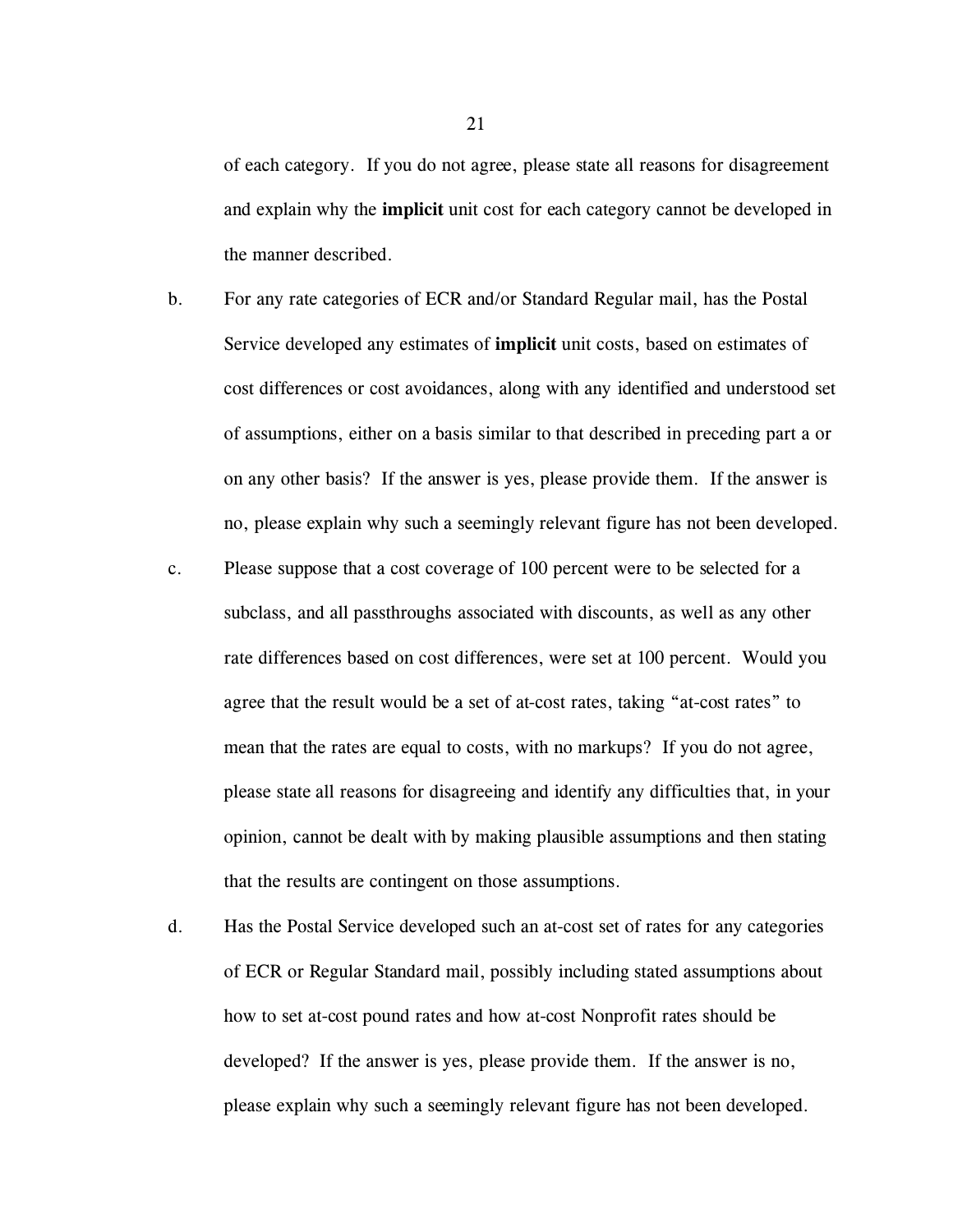of each category. If you do not agree, please state all reasons for disagreement and explain why the **implicit** unit cost for each category cannot be developed in the manner described.

- b. For any rate categories of ECR and/or Standard Regular mail, has the Postal Service developed any estimates of **implicit** unit costs, based on estimates of cost differences or cost avoidances, along with any identified and understood set of assumptions, either on a basis similar to that described in preceding part a or on any other basis? If the answer is yes, please provide them. If the answer is no, please explain why such a seemingly relevant figure has not been developed.
- c. Please suppose that a cost coverage of 100 percent were to be selected for a subclass, and all passthroughs associated with discounts, as well as any other rate differences based on cost differences, were set at 100 percent. Would you agree that the result would be a set of at-cost rates, taking "at-cost rates" to mean that the rates are equal to costs, with no markups? If you do not agree, please state all reasons for disagreeing and identify any difficulties that, in your opinion, cannot be dealt with by making plausible assumptions and then stating that the results are contingent on those assumptions.
- d. Has the Postal Service developed such an at-cost set of rates for any categories of ECR or Regular Standard mail, possibly including stated assumptions about how to set at-cost pound rates and how at-cost Nonprofit rates should be developed? If the answer is yes, please provide them. If the answer is no, please explain why such a seemingly relevant figure has not been developed.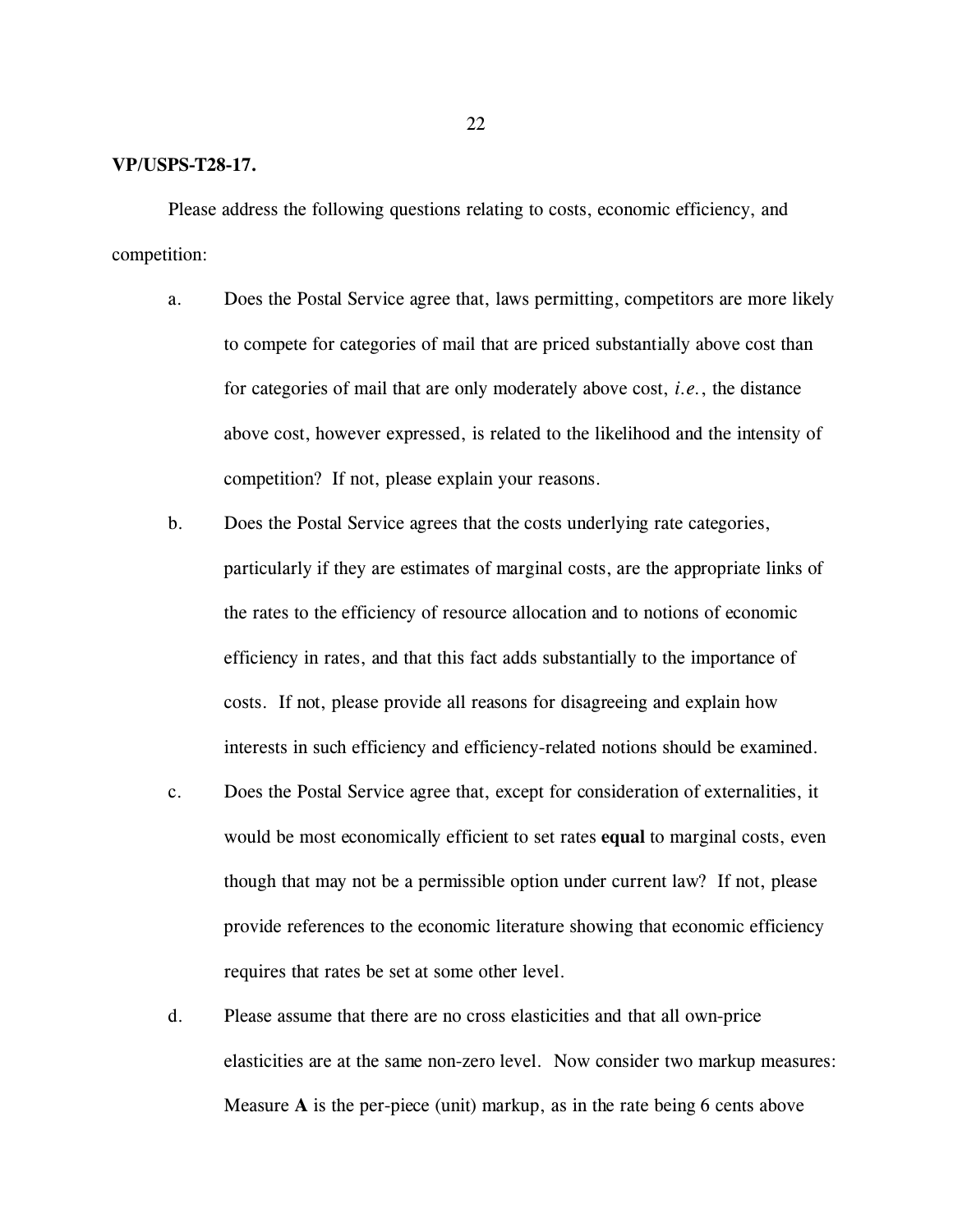#### **VP/USPS-T28-17.**

Please address the following questions relating to costs, economic efficiency, and competition:

- a. Does the Postal Service agree that, laws permitting, competitors are more likely to compete for categories of mail that are priced substantially above cost than for categories of mail that are only moderately above cost, *i.e.*, the distance above cost, however expressed, is related to the likelihood and the intensity of competition? If not, please explain your reasons.
- b. Does the Postal Service agrees that the costs underlying rate categories, particularly if they are estimates of marginal costs, are the appropriate links of the rates to the efficiency of resource allocation and to notions of economic efficiency in rates, and that this fact adds substantially to the importance of costs. If not, please provide all reasons for disagreeing and explain how interests in such efficiency and efficiency-related notions should be examined.
- c. Does the Postal Service agree that, except for consideration of externalities, it would be most economically efficient to set rates **equal** to marginal costs, even though that may not be a permissible option under current law? If not, please provide references to the economic literature showing that economic efficiency requires that rates be set at some other level.
- d. Please assume that there are no cross elasticities and that all own-price elasticities are at the same non-zero level. Now consider two markup measures: Measure **A** is the per-piece (unit) markup, as in the rate being 6 cents above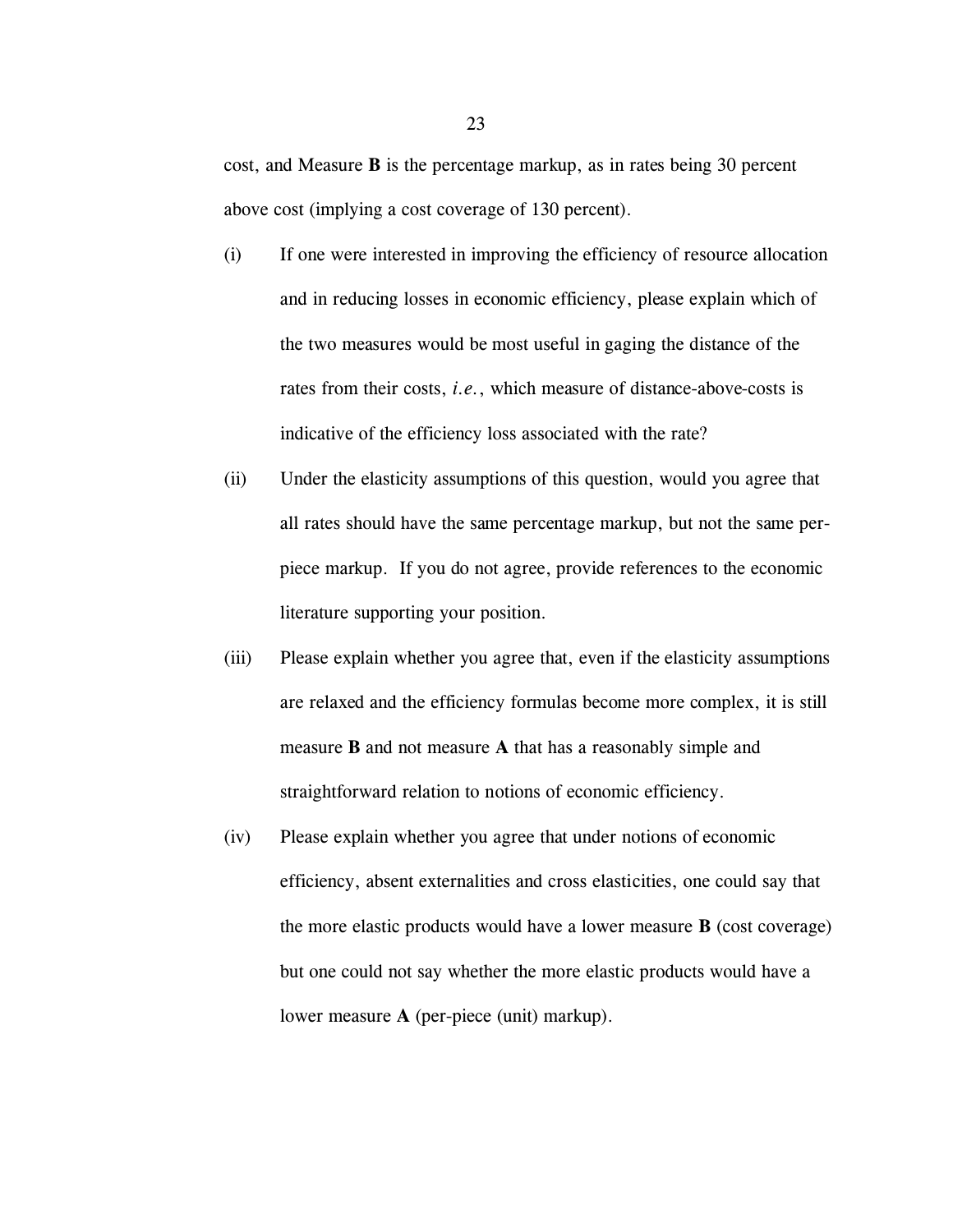cost, and Measure **B** is the percentage markup, as in rates being 30 percent above cost (implying a cost coverage of 130 percent).

- (i) If one were interested in improving the efficiency of resource allocation and in reducing losses in economic efficiency, please explain which of the two measures would be most useful in gaging the distance of the rates from their costs, *i.e.*, which measure of distance-above-costs is indicative of the efficiency loss associated with the rate?
- (ii) Under the elasticity assumptions of this question, would you agree that all rates should have the same percentage markup, but not the same perpiece markup. If you do not agree, provide references to the economic literature supporting your position.
- (iii) Please explain whether you agree that, even if the elasticity assumptions are relaxed and the efficiency formulas become more complex, it is still measure **B** and not measure **A** that has a reasonably simple and straightforward relation to notions of economic efficiency.
- (iv) Please explain whether you agree that under notions of economic efficiency, absent externalities and cross elasticities, one could say that the more elastic products would have a lower measure **B** (cost coverage) but one could not say whether the more elastic products would have a lower measure **A** (per-piece (unit) markup).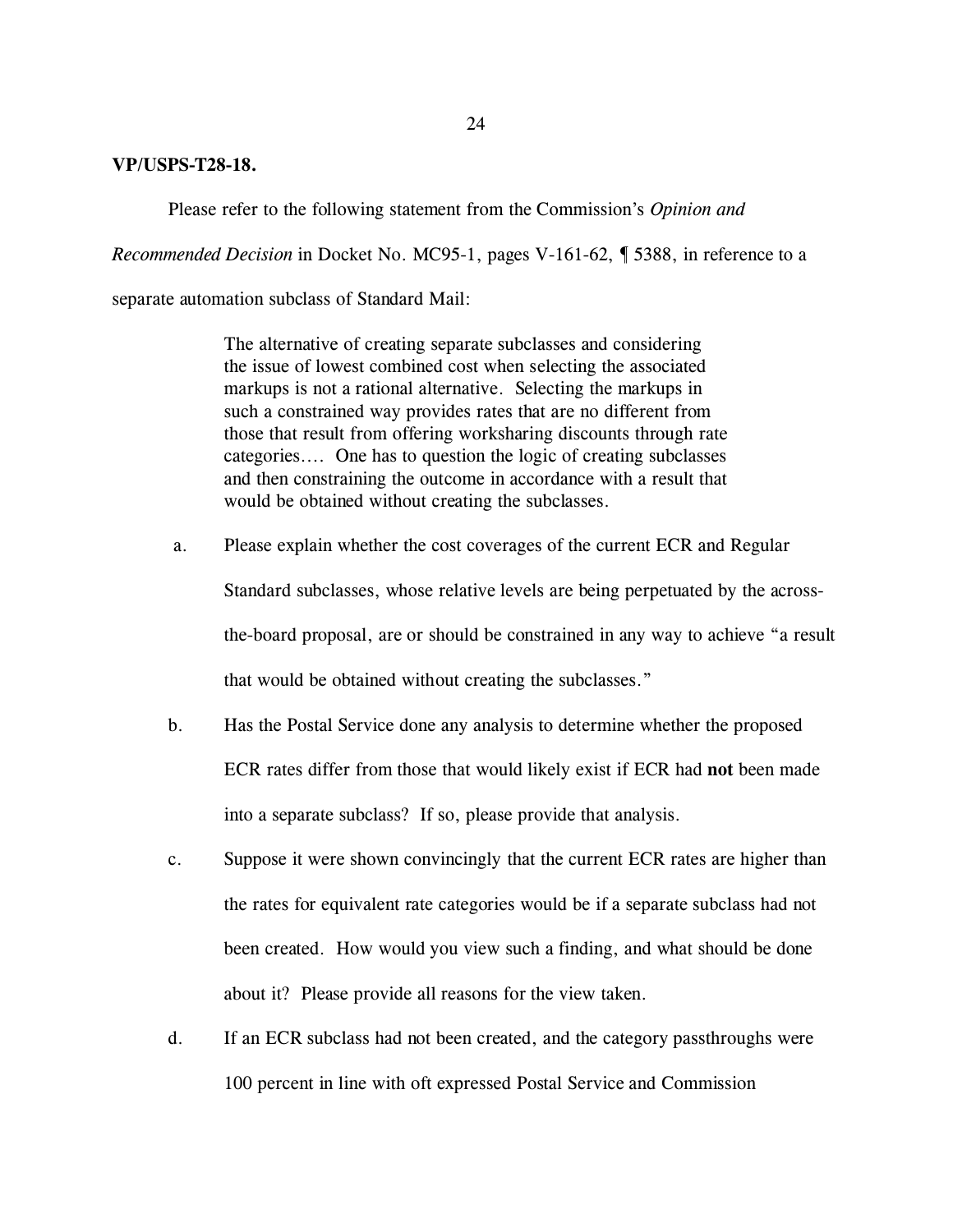### **VP/USPS-T28-18.**

Please refer to the following statement from the Commission's *Opinion and*

*Recommended Decision* in Docket No. MC95-1, pages V-161-62, ¶ 5388, in reference to a

separate automation subclass of Standard Mail:

The alternative of creating separate subclasses and considering the issue of lowest combined cost when selecting the associated markups is not a rational alternative. Selecting the markups in such a constrained way provides rates that are no different from those that result from offering worksharing discounts through rate categories.... One has to question the logic of creating subclasses and then constraining the outcome in accordance with a result that would be obtained without creating the subclasses.

- a. Please explain whether the cost coverages of the current ECR and Regular Standard subclasses, whose relative levels are being perpetuated by the acrossthe-board proposal, are or should be constrained in any way to achieve "a result that would be obtained without creating the subclasses."
- b. Has the Postal Service done any analysis to determine whether the proposed ECR rates differ from those that would likely exist if ECR had **not** been made into a separate subclass? If so, please provide that analysis.
- c. Suppose it were shown convincingly that the current ECR rates are higher than the rates for equivalent rate categories would be if a separate subclass had not been created. How would you view such a finding, and what should be done about it? Please provide all reasons for the view taken.
- d. If an ECR subclass had not been created, and the category passthroughs were 100 percent in line with oft expressed Postal Service and Commission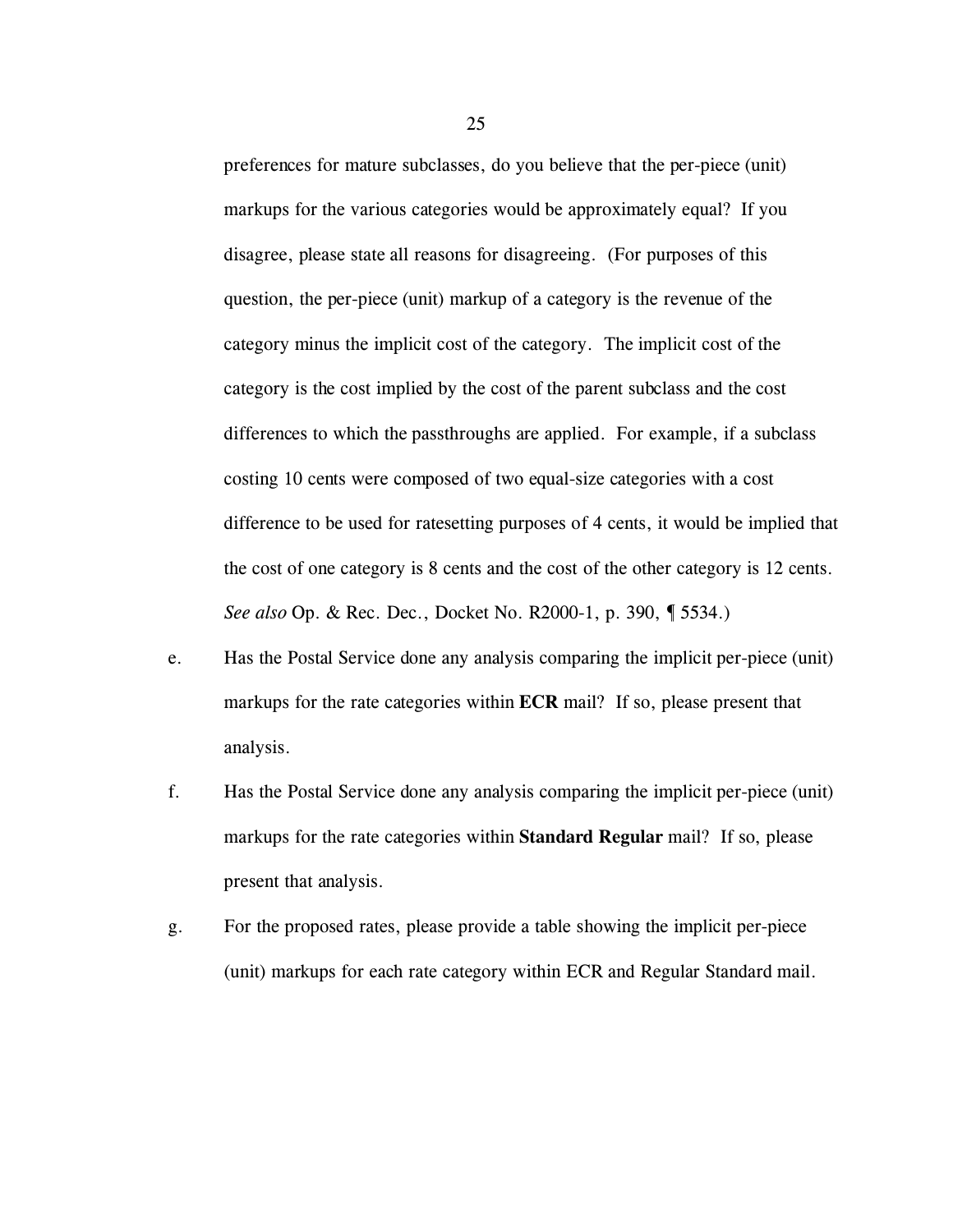preferences for mature subclasses, do you believe that the per-piece (unit) markups for the various categories would be approximately equal? If you disagree, please state all reasons for disagreeing. (For purposes of this question, the per-piece (unit) markup of a category is the revenue of the category minus the implicit cost of the category. The implicit cost of the category is the cost implied by the cost of the parent subclass and the cost differences to which the passthroughs are applied. For example, if a subclass costing 10 cents were composed of two equal-size categories with a cost difference to be used for ratesetting purposes of 4 cents, it would be implied that the cost of one category is 8 cents and the cost of the other category is 12 cents. *See also* Op. & Rec. Dec., Docket No. R2000-1, p. 390, ¶ 5534.)

- e. Has the Postal Service done any analysis comparing the implicit per-piece (unit) markups for the rate categories within **ECR** mail? If so, please present that analysis.
- f. Has the Postal Service done any analysis comparing the implicit per-piece (unit) markups for the rate categories within **Standard Regular** mail? If so, please present that analysis.
- g. For the proposed rates, please provide a table showing the implicit per-piece (unit) markups for each rate category within ECR and Regular Standard mail.